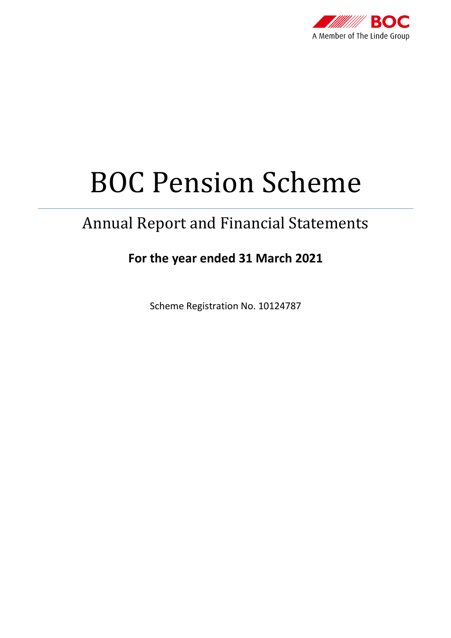

# BOC Pension Scheme

# Annual Report and Financial Statements

# **For the year ended 31 March 2021**

Scheme Registration No. 10124787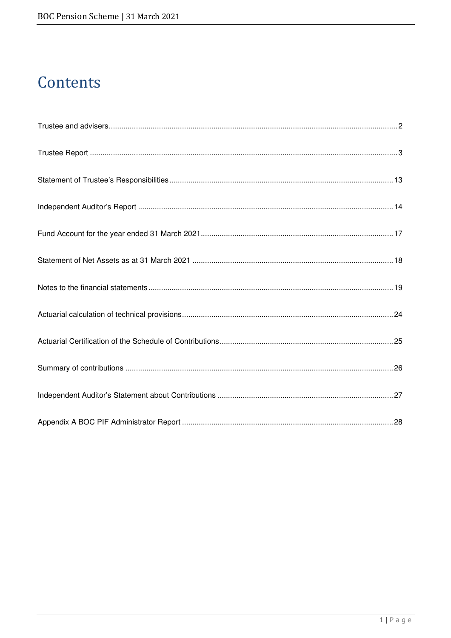# Contents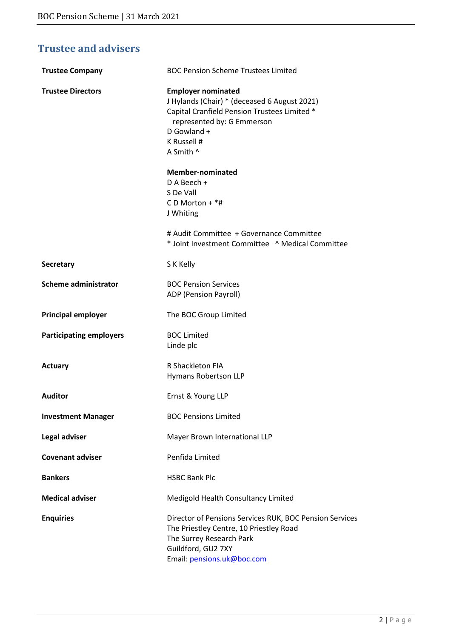# **Trustee and advisers**

| <b>Trustee Company</b>         | <b>BOC Pension Scheme Trustees Limited</b>                                                                                                                                                         |
|--------------------------------|----------------------------------------------------------------------------------------------------------------------------------------------------------------------------------------------------|
| <b>Trustee Directors</b>       | <b>Employer nominated</b><br>J Hylands (Chair) * (deceased 6 August 2021)<br>Capital Cranfield Pension Trustees Limited *<br>represented by: G Emmerson<br>D Gowland +<br>K Russell #<br>A Smith ^ |
|                                | <b>Member-nominated</b><br>D A Beech +<br>S De Vall<br>C D Morton + $*$ #<br>J Whiting                                                                                                             |
|                                | # Audit Committee + Governance Committee<br>* Joint Investment Committee ^ Medical Committee                                                                                                       |
| <b>Secretary</b>               | S K Kelly                                                                                                                                                                                          |
| <b>Scheme administrator</b>    | <b>BOC Pension Services</b><br>ADP (Pension Payroll)                                                                                                                                               |
| <b>Principal employer</b>      | The BOC Group Limited                                                                                                                                                                              |
| <b>Participating employers</b> | <b>BOC Limited</b><br>Linde plc                                                                                                                                                                    |
| <b>Actuary</b>                 | R Shackleton FIA<br>Hymans Robertson LLP                                                                                                                                                           |
| <b>Auditor</b>                 | Ernst & Young LLP                                                                                                                                                                                  |
| <b>Investment Manager</b>      | <b>BOC Pensions Limited</b>                                                                                                                                                                        |
| Legal adviser                  | Mayer Brown International LLP                                                                                                                                                                      |
| <b>Covenant adviser</b>        | Penfida Limited                                                                                                                                                                                    |
| <b>Bankers</b>                 | <b>HSBC Bank Plc</b>                                                                                                                                                                               |
| <b>Medical adviser</b>         | Medigold Health Consultancy Limited                                                                                                                                                                |
| <b>Enquiries</b>               | Director of Pensions Services RUK, BOC Pension Services<br>The Priestley Centre, 10 Priestley Road<br>The Surrey Research Park<br>Guildford, GU2 7XY<br>Email: pensions.uk@boc.com                 |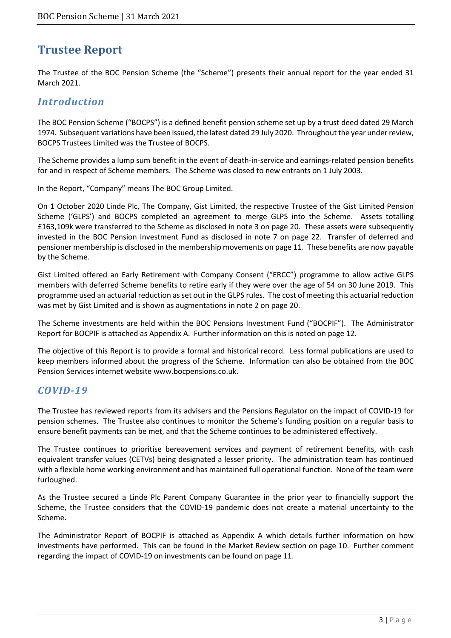# **Trustee Report**

The Trustee of the BOC Pension Scheme (the "Scheme") presents their annual report for the year ended 31 March 2021.

### *Introduction*

The BOC Pension Scheme ("BOCPS") is a defined benefit pension scheme set up by a trust deed dated 29 March 1974. Subsequent variations have been issued, the latest dated 29 July 2020. Throughout the year under review, BOCPS Trustees Limited was the Trustee of BOCPS.

The Scheme provides a lump sum benefit in the event of death-in-service and earnings-related pension benefits for and in respect of Scheme members. The Scheme was closed to new entrants on 1 July 2003.

In the Report, "Company" means The BOC Group Limited.

On 1 October 2020 Linde Plc, The Company, Gist Limited, the respective Trustee of the Gist Limited Pension Scheme ('GLPS') and BOCPS completed an agreement to merge GLPS into the Scheme. Assets totalling £163,109k were transferred to the Scheme as disclosed in note 3 on page 20. These assets were subsequently invested in the BOC Pension Investment Fund as disclosed in note 7 on page 22. Transfer of deferred and pensioner membership is disclosed in the membership movements on page 11. These benefits are now payable by the Scheme.

Gist Limited offered an Early Retirement with Company Consent ("ERCC") programme to allow active GLPS members with deferred Scheme benefits to retire early if they were over the age of 54 on 30 June 2019. This programme used an actuarial reduction as set out in the GLPS rules. The cost of meeting this actuarial reduction was met by Gist Limited and is shown as augmentations in note 2 on page 20.

The Scheme investments are held within the BOC Pensions Investment Fund ("BOCPIF"). The Administrator Report for BOCPIF is attached as Appendix A. Further information on this is noted on page 12.

The objective of this Report is to provide a formal and historical record. Less formal publications are used to keep members informed about the progress of the Scheme. Information can also be obtained from the BOC Pension Services internet website www.bocpensions.co.uk.

### *COVID-19*

The Trustee has reviewed reports from its advisers and the Pensions Regulator on the impact of COVID-19 for pension schemes. The Trustee also continues to monitor the Scheme's funding position on a regular basis to ensure benefit payments can be met, and that the Scheme continues to be administered effectively.

The Trustee continues to prioritise bereavement services and payment of retirement benefits, with cash equivalent transfer values (CETVs) being designated a lesser priority. The administration team has continued with a flexible home working environment and has maintained full operational function. None of the team were furloughed.

As the Trustee secured a Linde Plc Parent Company Guarantee in the prior year to financially support the Scheme, the Trustee considers that the COVID-19 pandemic does not create a material uncertainty to the Scheme.

The Administrator Report of BOCPIF is attached as Appendix A which details further information on how investments have performed. This can be found in the Market Review section on page 10. Further comment regarding the impact of COVID-19 on investments can be found on page 11.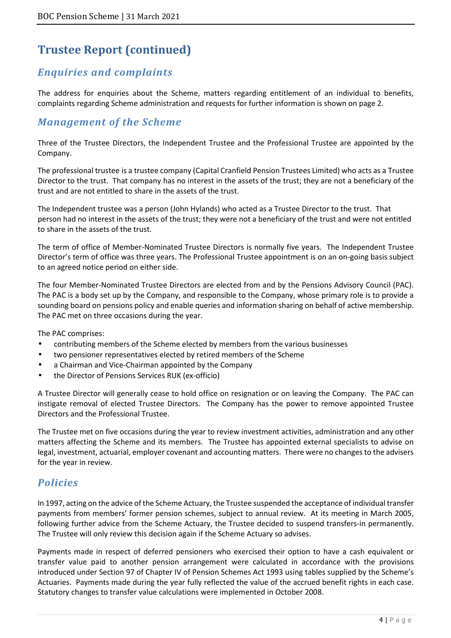# *Enquiries and complaints*

The address for enquiries about the Scheme, matters regarding entitlement of an individual to benefits, complaints regarding Scheme administration and requests for further information is shown on page 2.

# *Management of the Scheme*

Three of the Trustee Directors, the Independent Trustee and the Professional Trustee are appointed by the Company.

The professional trustee is a trustee company (Capital Cranfield Pension Trustees Limited) who acts as a Trustee Director to the trust. That company has no interest in the assets of the trust; they are not a beneficiary of the trust and are not entitled to share in the assets of the trust.

The Independent trustee was a person (John Hylands) who acted as a Trustee Director to the trust. That person had no interest in the assets of the trust; they were not a beneficiary of the trust and were not entitled to share in the assets of the trust.

The term of office of Member-Nominated Trustee Directors is normally five years. The Independent Trustee Director's term of office was three years. The Professional Trustee appointment is on an on-going basis subject to an agreed notice period on either side.

The four Member-Nominated Trustee Directors are elected from and by the Pensions Advisory Council (PAC). The PAC is a body set up by the Company, and responsible to the Company, whose primary role is to provide a sounding board on pensions policy and enable queries and information sharing on behalf of active membership. The PAC met on three occasions during the year.

The PAC comprises:

- contributing members of the Scheme elected by members from the various businesses
- two pensioner representatives elected by retired members of the Scheme
- a Chairman and Vice-Chairman appointed by the Company
- the Director of Pensions Services RUK (ex-officio)

A Trustee Director will generally cease to hold office on resignation or on leaving the Company. The PAC can instigate removal of elected Trustee Directors. The Company has the power to remove appointed Trustee Directors and the Professional Trustee.

The Trustee met on five occasions during the year to review investment activities, administration and any other matters affecting the Scheme and its members. The Trustee has appointed external specialists to advise on legal, investment, actuarial, employer covenant and accounting matters. There were no changes to the advisers for the year in review.

### *Policies*

In 1997, acting on the advice of the Scheme Actuary, the Trustee suspended the acceptance of individual transfer payments from members' former pension schemes, subject to annual review. At its meeting in March 2005, following further advice from the Scheme Actuary, the Trustee decided to suspend transfers-in permanently. The Trustee will only review this decision again if the Scheme Actuary so advises.

Payments made in respect of deferred pensioners who exercised their option to have a cash equivalent or transfer value paid to another pension arrangement were calculated in accordance with the provisions introduced under Section 97 of Chapter IV of Pension Schemes Act 1993 using tables supplied by the Scheme's Actuaries. Payments made during the year fully reflected the value of the accrued benefit rights in each case. Statutory changes to transfer value calculations were implemented in October 2008.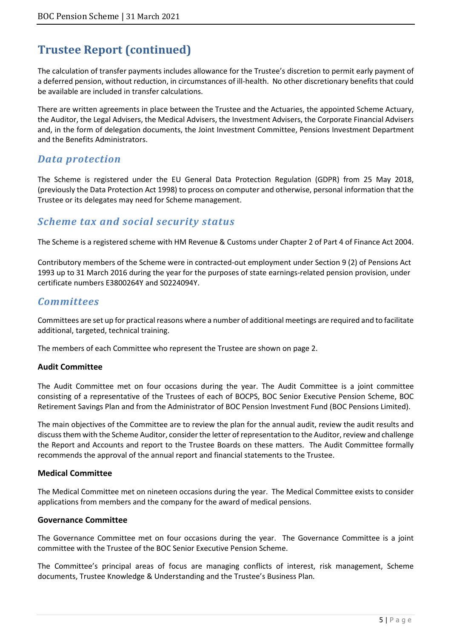The calculation of transfer payments includes allowance for the Trustee's discretion to permit early payment of a deferred pension, without reduction, in circumstances of ill-health. No other discretionary benefits that could be available are included in transfer calculations.

There are written agreements in place between the Trustee and the Actuaries, the appointed Scheme Actuary, the Auditor, the Legal Advisers, the Medical Advisers, the Investment Advisers, the Corporate Financial Advisers and, in the form of delegation documents, the Joint Investment Committee, Pensions Investment Department and the Benefits Administrators.

### *Data protection*

The Scheme is registered under the EU General Data Protection Regulation (GDPR) from 25 May 2018, (previously the Data Protection Act 1998) to process on computer and otherwise, personal information that the Trustee or its delegates may need for Scheme management.

# *Scheme tax and social security status*

The Scheme is a registered scheme with HM Revenue & Customs under Chapter 2 of Part 4 of Finance Act 2004.

Contributory members of the Scheme were in contracted-out employment under Section 9 (2) of Pensions Act 1993 up to 31 March 2016 during the year for the purposes of state earnings-related pension provision, under certificate numbers E3800264Y and S0224094Y.

### *Committees*

Committees are set up for practical reasons where a number of additional meetings are required and to facilitate additional, targeted, technical training.

The members of each Committee who represent the Trustee are shown on page 2.

#### **Audit Committee**

The Audit Committee met on four occasions during the year. The Audit Committee is a joint committee consisting of a representative of the Trustees of each of BOCPS, BOC Senior Executive Pension Scheme, BOC Retirement Savings Plan and from the Administrator of BOC Pension Investment Fund (BOC Pensions Limited).

The main objectives of the Committee are to review the plan for the annual audit, review the audit results and discuss them with the Scheme Auditor, consider the letter of representation to the Auditor, review and challenge the Report and Accounts and report to the Trustee Boards on these matters. The Audit Committee formally recommends the approval of the annual report and financial statements to the Trustee.

#### **Medical Committee**

The Medical Committee met on nineteen occasions during the year. The Medical Committee exists to consider applications from members and the company for the award of medical pensions.

#### **Governance Committee**

The Governance Committee met on four occasions during the year. The Governance Committee is a joint committee with the Trustee of the BOC Senior Executive Pension Scheme.

The Committee's principal areas of focus are managing conflicts of interest, risk management, Scheme documents, Trustee Knowledge & Understanding and the Trustee's Business Plan.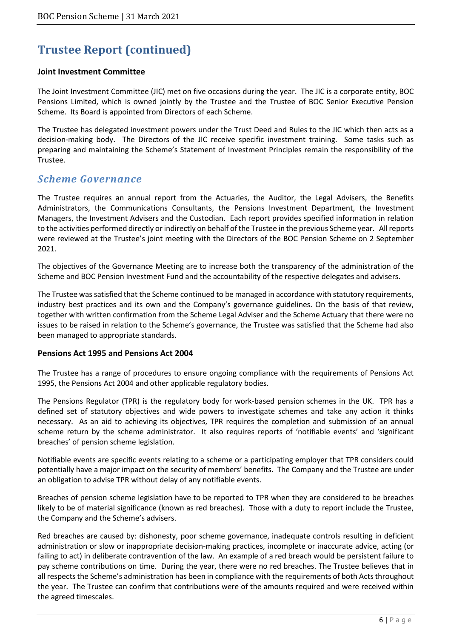#### **Joint Investment Committee**

The Joint Investment Committee (JIC) met on five occasions during the year. The JIC is a corporate entity, BOC Pensions Limited, which is owned jointly by the Trustee and the Trustee of BOC Senior Executive Pension Scheme. Its Board is appointed from Directors of each Scheme.

The Trustee has delegated investment powers under the Trust Deed and Rules to the JIC which then acts as a decision-making body. The Directors of the JIC receive specific investment training. Some tasks such as preparing and maintaining the Scheme's Statement of Investment Principles remain the responsibility of the Trustee.

### *Scheme Governance*

The Trustee requires an annual report from the Actuaries, the Auditor, the Legal Advisers, the Benefits Administrators, the Communications Consultants, the Pensions Investment Department, the Investment Managers, the Investment Advisers and the Custodian. Each report provides specified information in relation to the activities performed directly or indirectly on behalf of the Trustee in the previous Scheme year. All reports were reviewed at the Trustee's joint meeting with the Directors of the BOC Pension Scheme on 2 September 2021.

The objectives of the Governance Meeting are to increase both the transparency of the administration of the Scheme and BOC Pension Investment Fund and the accountability of the respective delegates and advisers.

The Trustee was satisfied that the Scheme continued to be managed in accordance with statutory requirements, industry best practices and its own and the Company's governance guidelines. On the basis of that review, together with written confirmation from the Scheme Legal Adviser and the Scheme Actuary that there were no issues to be raised in relation to the Scheme's governance, the Trustee was satisfied that the Scheme had also been managed to appropriate standards.

#### **Pensions Act 1995 and Pensions Act 2004**

The Trustee has a range of procedures to ensure ongoing compliance with the requirements of Pensions Act 1995, the Pensions Act 2004 and other applicable regulatory bodies.

The Pensions Regulator (TPR) is the regulatory body for work-based pension schemes in the UK. TPR has a defined set of statutory objectives and wide powers to investigate schemes and take any action it thinks necessary. As an aid to achieving its objectives, TPR requires the completion and submission of an annual scheme return by the scheme administrator. It also requires reports of 'notifiable events' and 'significant breaches' of pension scheme legislation.

Notifiable events are specific events relating to a scheme or a participating employer that TPR considers could potentially have a major impact on the security of members' benefits. The Company and the Trustee are under an obligation to advise TPR without delay of any notifiable events.

Breaches of pension scheme legislation have to be reported to TPR when they are considered to be breaches likely to be of material significance (known as red breaches). Those with a duty to report include the Trustee, the Company and the Scheme's advisers.

Red breaches are caused by: dishonesty, poor scheme governance, inadequate controls resulting in deficient administration or slow or inappropriate decision-making practices, incomplete or inaccurate advice, acting (or failing to act) in deliberate contravention of the law. An example of a red breach would be persistent failure to pay scheme contributions on time. During the year, there were no red breaches. The Trustee believes that in all respects the Scheme's administration has been in compliance with the requirements of both Acts throughout the year. The Trustee can confirm that contributions were of the amounts required and were received within the agreed timescales.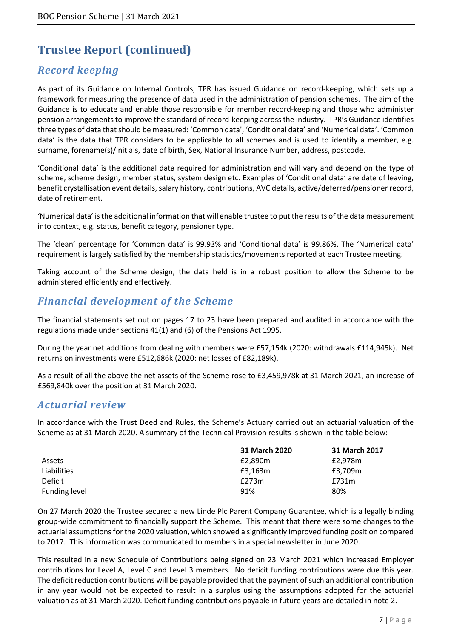# *Record keeping*

As part of its Guidance on Internal Controls, TPR has issued Guidance on record-keeping, which sets up a framework for measuring the presence of data used in the administration of pension schemes. The aim of the Guidance is to educate and enable those responsible for member record-keeping and those who administer pension arrangements to improve the standard of record-keeping across the industry. TPR's Guidance identifies three types of data that should be measured: 'Common data', 'Conditional data' and 'Numerical data'. 'Common data' is the data that TPR considers to be applicable to all schemes and is used to identify a member, e.g. surname, forename(s)/initials, date of birth, Sex, National Insurance Number, address, postcode.

'Conditional data' is the additional data required for administration and will vary and depend on the type of scheme, scheme design, member status, system design etc. Examples of 'Conditional data' are date of leaving, benefit crystallisation event details, salary history, contributions, AVC details, active/deferred/pensioner record, date of retirement.

'Numerical data' is the additional information that will enable trustee to put the results of the data measurement into context, e.g. status, benefit category, pensioner type.

The 'clean' percentage for 'Common data' is 99.93% and 'Conditional data' is 99.86%. The 'Numerical data' requirement is largely satisfied by the membership statistics/movements reported at each Trustee meeting.

Taking account of the Scheme design, the data held is in a robust position to allow the Scheme to be administered efficiently and effectively.

# *Financial development of the Scheme*

The financial statements set out on pages 17 to 23 have been prepared and audited in accordance with the regulations made under sections 41(1) and (6) of the Pensions Act 1995.

During the year net additions from dealing with members were £57,154k (2020: withdrawals £114,945k). Net returns on investments were £512,686k (2020: net losses of £82,189k).

As a result of all the above the net assets of the Scheme rose to £3,459,978k at 31 March 2021, an increase of £569,840k over the position at 31 March 2020.

### *Actuarial review*

In accordance with the Trust Deed and Rules, the Scheme's Actuary carried out an actuarial valuation of the Scheme as at 31 March 2020. A summary of the Technical Provision results is shown in the table below:

|               | 31 March 2020 | 31 March 2017 |
|---------------|---------------|---------------|
| Assets        | £2,890m       | £2.978m       |
| Liabilities   | £3.163m       | £3,709m       |
| Deficit       | £273m         | £731m         |
| Funding level | 91%           | 80%           |

On 27 March 2020 the Trustee secured a new Linde Plc Parent Company Guarantee, which is a legally binding group-wide commitment to financially support the Scheme. This meant that there were some changes to the actuarial assumptions for the 2020 valuation, which showed a significantly improved funding position compared to 2017. This information was communicated to members in a special newsletter in June 2020.

This resulted in a new Schedule of Contributions being signed on 23 March 2021 which increased Employer contributions for Level A, Level C and Level 3 members. No deficit funding contributions were due this year. The deficit reduction contributions will be payable provided that the payment of such an additional contribution in any year would not be expected to result in a surplus using the assumptions adopted for the actuarial valuation as at 31 March 2020. Deficit funding contributions payable in future years are detailed in note 2.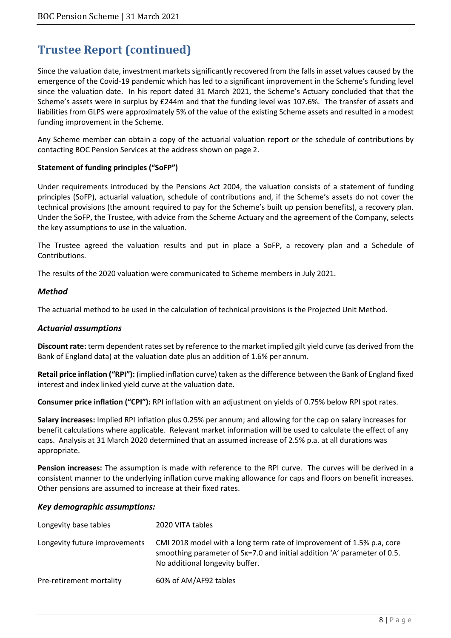Since the valuation date, investment markets significantly recovered from the falls in asset values caused by the emergence of the Covid-19 pandemic which has led to a significant improvement in the Scheme's funding level since the valuation date. In his report dated 31 March 2021, the Scheme's Actuary concluded that that the Scheme's assets were in surplus by £244m and that the funding level was 107.6%. The transfer of assets and liabilities from GLPS were approximately 5% of the value of the existing Scheme assets and resulted in a modest funding improvement in the Scheme.

Any Scheme member can obtain a copy of the actuarial valuation report or the schedule of contributions by contacting BOC Pension Services at the address shown on page 2.

#### **Statement of funding principles ("SoFP")**

Under requirements introduced by the Pensions Act 2004, the valuation consists of a statement of funding principles (SoFP), actuarial valuation, schedule of contributions and, if the Scheme's assets do not cover the technical provisions (the amount required to pay for the Scheme's built up pension benefits), a recovery plan. Under the SoFP, the Trustee, with advice from the Scheme Actuary and the agreement of the Company, selects the key assumptions to use in the valuation.

The Trustee agreed the valuation results and put in place a SoFP, a recovery plan and a Schedule of Contributions.

The results of the 2020 valuation were communicated to Scheme members in July 2021.

#### *Method*

The actuarial method to be used in the calculation of technical provisions is the Projected Unit Method.

#### *Actuarial assumptions*

**Discount rate:** term dependent rates set by reference to the market implied gilt yield curve (as derived from the Bank of England data) at the valuation date plus an addition of 1.6% per annum.

**Retail price inflation ("RPI"):** (implied inflation curve) taken as the difference between the Bank of England fixed interest and index linked yield curve at the valuation date.

**Consumer price inflation ("CPI"):** RPI inflation with an adjustment on yields of 0.75% below RPI spot rates.

**Salary increases:** Implied RPI inflation plus 0.25% per annum; and allowing for the cap on salary increases for benefit calculations where applicable. Relevant market information will be used to calculate the effect of any caps. Analysis at 31 March 2020 determined that an assumed increase of 2.5% p.a. at all durations was appropriate.

**Pension increases:** The assumption is made with reference to the RPI curve. The curves will be derived in a consistent manner to the underlying inflation curve making allowance for caps and floors on benefit increases. Other pensions are assumed to increase at their fixed rates.

#### *Key demographic assumptions:*

| Longevity base tables         | 2020 VITA tables                                                                                                                                                                                  |
|-------------------------------|---------------------------------------------------------------------------------------------------------------------------------------------------------------------------------------------------|
| Longevity future improvements | CMI 2018 model with a long term rate of improvement of 1.5% p.a, core<br>smoothing parameter of S <sub>K</sub> =7.0 and initial addition 'A' parameter of 0.5.<br>No additional longevity buffer. |
| Pre-retirement mortality      | 60% of AM/AF92 tables                                                                                                                                                                             |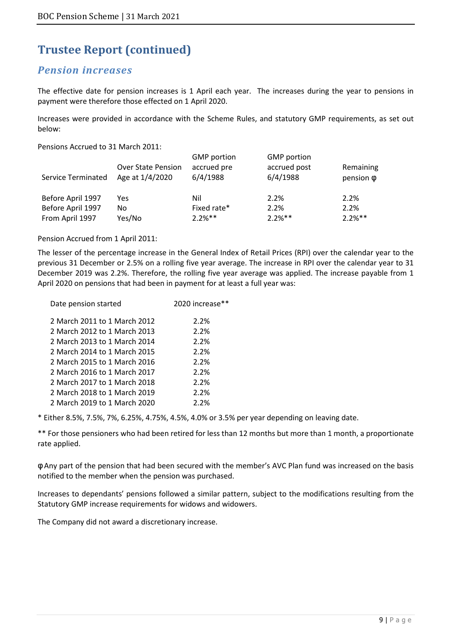### *Pension increases*

The effective date for pension increases is 1 April each year. The increases during the year to pensions in payment were therefore those effected on 1 April 2020.

Increases were provided in accordance with the Scheme Rules, and statutory GMP requirements, as set out below:

Pensions Accrued to 31 March 2011:

| <b>Service Terminated</b> | <b>Over State Pension</b><br>Age at 1/4/2020 | <b>GMP</b> portion<br>accrued pre<br>6/4/1988 | <b>GMP</b> portion<br>accrued post<br>6/4/1988 | Remaining<br>pension $\phi$ |
|---------------------------|----------------------------------------------|-----------------------------------------------|------------------------------------------------|-----------------------------|
| Before April 1997         | Yes                                          | Nil                                           | 2.2%                                           | 2.2%                        |
| Before April 1997         | No                                           | Fixed rate*                                   | 2.2%                                           | 2.2%                        |
| From April 1997           | Yes/No                                       | $2.2%$ **                                     | $2.2%$ **                                      | $2.2%$ **                   |

Pension Accrued from 1 April 2011:

The lesser of the percentage increase in the General Index of Retail Prices (RPI) over the calendar year to the previous 31 December or 2.5% on a rolling five year average. The increase in RPI over the calendar year to 31 December 2019 was 2.2%. Therefore, the rolling five year average was applied. The increase payable from 1 April 2020 on pensions that had been in payment for at least a full year was:

| Date pension started         | 2020 increase** |
|------------------------------|-----------------|
| 2 March 2011 to 1 March 2012 | 2.2%            |
| 2 March 2012 to 1 March 2013 | 2.2%            |
| 2 March 2013 to 1 March 2014 | 2.2%            |
| 2 March 2014 to 1 March 2015 | 2.2%            |
| 2 March 2015 to 1 March 2016 | 2.2%            |
| 2 March 2016 to 1 March 2017 | 2.2%            |
| 2 March 2017 to 1 March 2018 | 2.2%            |
| 2 March 2018 to 1 March 2019 | 2.2%            |
| 2 March 2019 to 1 March 2020 | 2.2%            |

\* Either 8.5%, 7.5%, 7%, 6.25%, 4.75%, 4.5%, 4.0% or 3.5% per year depending on leaving date.

\*\* For those pensioners who had been retired for less than 12 months but more than 1 month, a proportionate rate applied.

φ Any part of the pension that had been secured with the member's AVC Plan fund was increased on the basis notified to the member when the pension was purchased.

Increases to dependants' pensions followed a similar pattern, subject to the modifications resulting from the Statutory GMP increase requirements for widows and widowers.

The Company did not award a discretionary increase.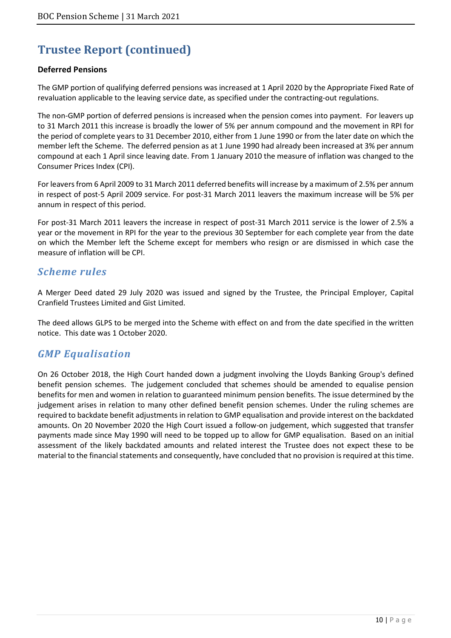#### **Deferred Pensions**

The GMP portion of qualifying deferred pensions was increased at 1 April 2020 by the Appropriate Fixed Rate of revaluation applicable to the leaving service date, as specified under the contracting-out regulations.

The non-GMP portion of deferred pensions is increased when the pension comes into payment. For leavers up to 31 March 2011 this increase is broadly the lower of 5% per annum compound and the movement in RPI for the period of complete years to 31 December 2010, either from 1 June 1990 or from the later date on which the member left the Scheme. The deferred pension as at 1 June 1990 had already been increased at 3% per annum compound at each 1 April since leaving date. From 1 January 2010 the measure of inflation was changed to the Consumer Prices Index (CPI).

For leavers from 6 April 2009 to 31 March 2011 deferred benefits will increase by a maximum of 2.5% per annum in respect of post-5 April 2009 service. For post-31 March 2011 leavers the maximum increase will be 5% per annum in respect of this period.

For post-31 March 2011 leavers the increase in respect of post-31 March 2011 service is the lower of 2.5% a year or the movement in RPI for the year to the previous 30 September for each complete year from the date on which the Member left the Scheme except for members who resign or are dismissed in which case the measure of inflation will be CPI.

### *Scheme rules*

A Merger Deed dated 29 July 2020 was issued and signed by the Trustee, the Principal Employer, Capital Cranfield Trustees Limited and Gist Limited.

The deed allows GLPS to be merged into the Scheme with effect on and from the date specified in the written notice. This date was 1 October 2020.

### *GMP Equalisation*

On 26 October 2018, the High Court handed down a judgment involving the Lloyds Banking Group's defined benefit pension schemes. The judgement concluded that schemes should be amended to equalise pension benefits for men and women in relation to guaranteed minimum pension benefits. The issue determined by the judgement arises in relation to many other defined benefit pension schemes. Under the ruling schemes are required to backdate benefit adjustments in relation to GMP equalisation and provide interest on the backdated amounts. On 20 November 2020 the High Court issued a follow-on judgement, which suggested that transfer payments made since May 1990 will need to be topped up to allow for GMP equalisation. Based on an initial assessment of the likely backdated amounts and related interest the Trustee does not expect these to be material to the financial statements and consequently, have concluded that no provision is required at this time.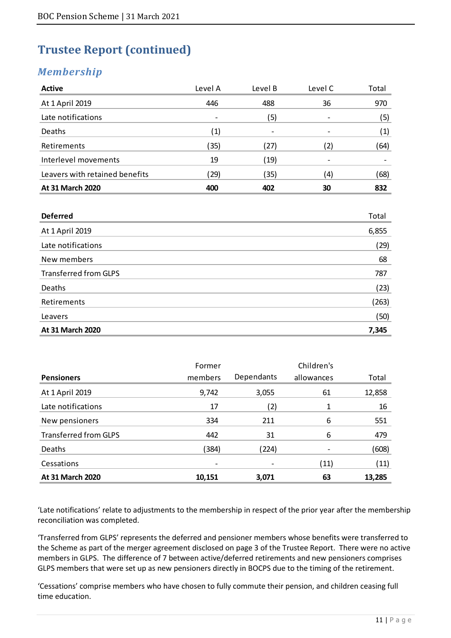# *Membership*

| <b>Active</b>                  | Level A           | Level B                  | Level C | Total |
|--------------------------------|-------------------|--------------------------|---------|-------|
| At 1 April 2019                | 446               | 488                      | 36      | 970   |
| Late notifications             | ۰                 | (5)                      |         | (5)   |
| Deaths                         | $\left( 1\right)$ | $\overline{\phantom{0}}$ |         | (1)   |
| Retirements                    | (35)              | (27)                     | (2)     | (64)  |
| Interlevel movements           | 19                | (19)                     |         |       |
| Leavers with retained benefits | (29)              | (35)                     | (4)     | (68)  |
| At 31 March 2020               | 400               | 402                      | 30      | 832   |

| <b>Deferred</b>              | Total |
|------------------------------|-------|
| At 1 April 2019              | 6,855 |
| Late notifications           | (29)  |
| New members                  | 68    |
| <b>Transferred from GLPS</b> | 787   |
| Deaths                       | (23)  |
| Retirements                  | (263) |
| Leavers                      | (50)  |
| At 31 March 2020             | 7,345 |

|                              | Former  |            | Children's |        |
|------------------------------|---------|------------|------------|--------|
| <b>Pensioners</b>            | members | Dependants | allowances | Total  |
| At 1 April 2019              | 9,742   | 3,055      | 61         | 12,858 |
| Late notifications           | 17      | (2)        | 1          | 16     |
| New pensioners               | 334     | 211        | 6          | 551    |
| <b>Transferred from GLPS</b> | 442     | 31         | 6          | 479    |
| Deaths                       | (384)   | (224)      |            | (608)  |
| Cessations                   | ۰       | ۰          | (11)       | (11)   |
| At 31 March 2020             | 10,151  | 3,071      | 63         | 13,285 |

'Late notifications' relate to adjustments to the membership in respect of the prior year after the membership reconciliation was completed.

'Transferred from GLPS' represents the deferred and pensioner members whose benefits were transferred to the Scheme as part of the merger agreement disclosed on page 3 of the Trustee Report. There were no active members in GLPS. The difference of 7 between active/deferred retirements and new pensioners comprises GLPS members that were set up as new pensioners directly in BOCPS due to the timing of the retirement.

'Cessations' comprise members who have chosen to fully commute their pension, and children ceasing full time education.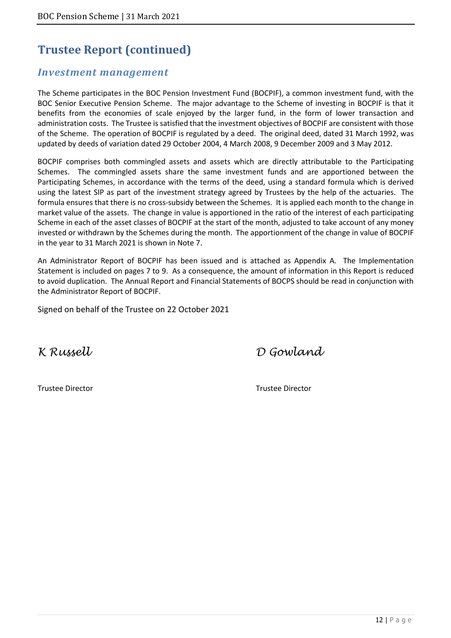### *Investment management*

The Scheme participates in the BOC Pension Investment Fund (BOCPIF), a common investment fund, with the BOC Senior Executive Pension Scheme. The major advantage to the Scheme of investing in BOCPIF is that it benefits from the economies of scale enjoyed by the larger fund, in the form of lower transaction and administration costs. The Trustee is satisfied that the investment objectives of BOCPIF are consistent with those of the Scheme. The operation of BOCPIF is regulated by a deed. The original deed, dated 31 March 1992, was updated by deeds of variation dated 29 October 2004, 4 March 2008, 9 December 2009 and 3 May 2012.

BOCPIF comprises both commingled assets and assets which are directly attributable to the Participating Schemes. The commingled assets share the same investment funds and are apportioned between the Participating Schemes, in accordance with the terms of the deed, using a standard formula which is derived using the latest SIP as part of the investment strategy agreed by Trustees by the help of the actuaries. The formula ensures that there is no cross-subsidy between the Schemes. It is applied each month to the change in market value of the assets. The change in value is apportioned in the ratio of the interest of each participating Scheme in each of the asset classes of BOCPIF at the start of the month, adjusted to take account of any money invested or withdrawn by the Schemes during the month. The apportionment of the change in value of BOCPIF in the year to 31 March 2021 is shown in Note 7.

An Administrator Report of BOCPIF has been issued and is attached as Appendix A. The Implementation Statement is included on pages 7 to 9. As a consequence, the amount of information in this Report is reduced to avoid duplication. The Annual Report and Financial Statements of BOCPS should be read in conjunction with the Administrator Report of BOCPIF.

Signed on behalf of the Trustee on 22 October 2021

K Russell D Gowland

Trustee Director Trustee Director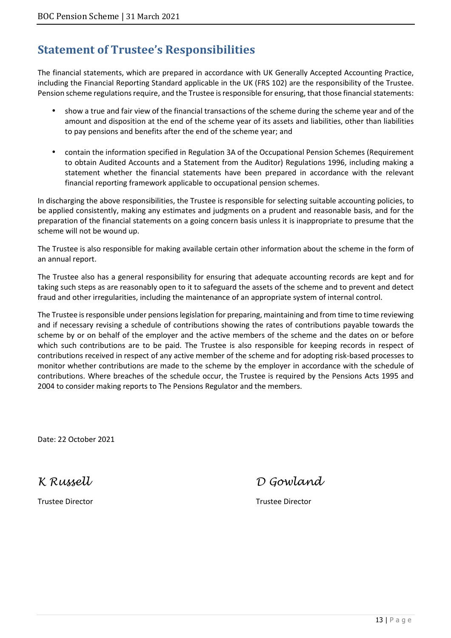# **Statement of Trustee's Responsibilities**

The financial statements, which are prepared in accordance with UK Generally Accepted Accounting Practice, including the Financial Reporting Standard applicable in the UK (FRS 102) are the responsibility of the Trustee. Pension scheme regulations require, and the Trustee is responsible for ensuring, that those financial statements:

- show a true and fair view of the financial transactions of the scheme during the scheme year and of the amount and disposition at the end of the scheme year of its assets and liabilities, other than liabilities to pay pensions and benefits after the end of the scheme year; and
- contain the information specified in Regulation 3A of the Occupational Pension Schemes (Requirement to obtain Audited Accounts and a Statement from the Auditor) Regulations 1996, including making a statement whether the financial statements have been prepared in accordance with the relevant financial reporting framework applicable to occupational pension schemes.

In discharging the above responsibilities, the Trustee is responsible for selecting suitable accounting policies, to be applied consistently, making any estimates and judgments on a prudent and reasonable basis, and for the preparation of the financial statements on a going concern basis unless it is inappropriate to presume that the scheme will not be wound up.

The Trustee is also responsible for making available certain other information about the scheme in the form of an annual report.

The Trustee also has a general responsibility for ensuring that adequate accounting records are kept and for taking such steps as are reasonably open to it to safeguard the assets of the scheme and to prevent and detect fraud and other irregularities, including the maintenance of an appropriate system of internal control.

The Trustee is responsible under pensions legislation for preparing, maintaining and from time to time reviewing and if necessary revising a schedule of contributions showing the rates of contributions payable towards the scheme by or on behalf of the employer and the active members of the scheme and the dates on or before which such contributions are to be paid. The Trustee is also responsible for keeping records in respect of contributions received in respect of any active member of the scheme and for adopting risk-based processes to monitor whether contributions are made to the scheme by the employer in accordance with the schedule of contributions. Where breaches of the schedule occur, the Trustee is required by the Pensions Acts 1995 and 2004 to consider making reports to The Pensions Regulator and the members.

Date: 22 October 2021

K Russell D Gowland

Trustee Director Trustee Director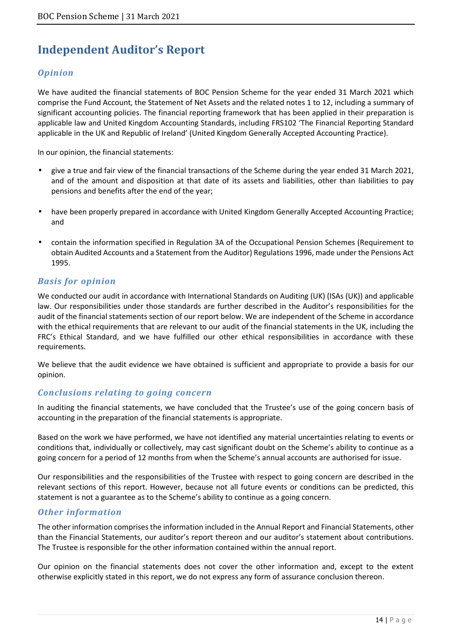# **Independent Auditor's Report**

### *Opinion*

We have audited the financial statements of BOC Pension Scheme for the year ended 31 March 2021 which comprise the Fund Account, the Statement of Net Assets and the related notes 1 to 12, including a summary of significant accounting policies. The financial reporting framework that has been applied in their preparation is applicable law and United Kingdom Accounting Standards, including FRS102 'The Financial Reporting Standard applicable in the UK and Republic of Ireland' (United Kingdom Generally Accepted Accounting Practice).

In our opinion, the financial statements:

- give a true and fair view of the financial transactions of the Scheme during the year ended 31 March 2021, and of the amount and disposition at that date of its assets and liabilities, other than liabilities to pay pensions and benefits after the end of the year;
- have been properly prepared in accordance with United Kingdom Generally Accepted Accounting Practice; and
- contain the information specified in Regulation 3A of the Occupational Pension Schemes (Requirement to obtain Audited Accounts and a Statement from the Auditor) Regulations 1996, made under the Pensions Act 1995.

### *Basis for opinion*

We conducted our audit in accordance with International Standards on Auditing (UK) (ISAs (UK)) and applicable law. Our responsibilities under those standards are further described in the Auditor's responsibilities for the audit of the financial statements section of our report below. We are independent of the Scheme in accordance with the ethical requirements that are relevant to our audit of the financial statements in the UK, including the FRC's Ethical Standard, and we have fulfilled our other ethical responsibilities in accordance with these requirements.

We believe that the audit evidence we have obtained is sufficient and appropriate to provide a basis for our opinion.

### *Conclusions relating to going concern*

In auditing the financial statements, we have concluded that the Trustee's use of the going concern basis of accounting in the preparation of the financial statements is appropriate.

Based on the work we have performed, we have not identified any material uncertainties relating to events or conditions that, individually or collectively, may cast significant doubt on the Scheme's ability to continue as a going concern for a period of 12 months from when the Scheme's annual accounts are authorised for issue.

Our responsibilities and the responsibilities of the Trustee with respect to going concern are described in the relevant sections of this report. However, because not all future events or conditions can be predicted, this statement is not a guarantee as to the Scheme's ability to continue as a going concern.

### *Other information*

The other information comprises the information included in the Annual Report and Financial Statements, other than the Financial Statements, our auditor's report thereon and our auditor's statement about contributions. The Trustee is responsible for the other information contained within the annual report.

Our opinion on the financial statements does not cover the other information and, except to the extent otherwise explicitly stated in this report, we do not express any form of assurance conclusion thereon.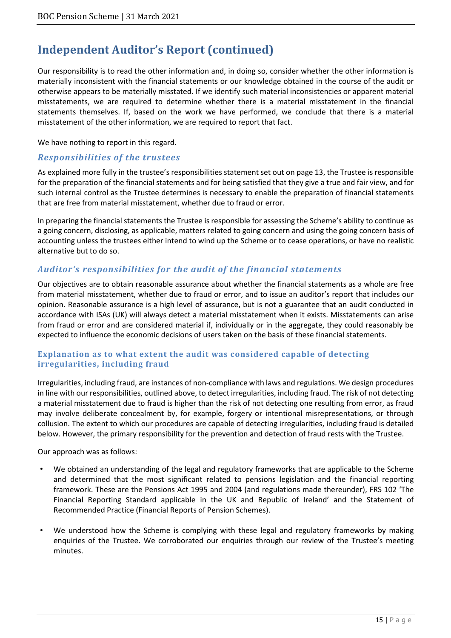# **Independent Auditor's Report (continued)**

Our responsibility is to read the other information and, in doing so, consider whether the other information is materially inconsistent with the financial statements or our knowledge obtained in the course of the audit or otherwise appears to be materially misstated. If we identify such material inconsistencies or apparent material misstatements, we are required to determine whether there is a material misstatement in the financial statements themselves. If, based on the work we have performed, we conclude that there is a material misstatement of the other information, we are required to report that fact.

#### We have nothing to report in this regard.

### *Responsibilities of the trustees*

As explained more fully in the trustee's responsibilities statement set out on page 13, the Trustee is responsible for the preparation of the financial statements and for being satisfied that they give a true and fair view, and for such internal control as the Trustee determines is necessary to enable the preparation of financial statements that are free from material misstatement, whether due to fraud or error.

In preparing the financial statements the Trustee is responsible for assessing the Scheme's ability to continue as a going concern, disclosing, as applicable, matters related to going concern and using the going concern basis of accounting unless the trustees either intend to wind up the Scheme or to cease operations, or have no realistic alternative but to do so.

### *Auditor's responsibilities for the audit of the financial statements*

Our objectives are to obtain reasonable assurance about whether the financial statements as a whole are free from material misstatement, whether due to fraud or error, and to issue an auditor's report that includes our opinion. Reasonable assurance is a high level of assurance, but is not a guarantee that an audit conducted in accordance with ISAs (UK) will always detect a material misstatement when it exists. Misstatements can arise from fraud or error and are considered material if, individually or in the aggregate, they could reasonably be expected to influence the economic decisions of users taken on the basis of these financial statements.

#### **Explanation as to what extent the audit was considered capable of detecting irregularities, including fraud**

Irregularities, including fraud, are instances of non-compliance with laws and regulations. We design procedures in line with our responsibilities, outlined above, to detect irregularities, including fraud. The risk of not detecting a material misstatement due to fraud is higher than the risk of not detecting one resulting from error, as fraud may involve deliberate concealment by, for example, forgery or intentional misrepresentations, or through collusion. The extent to which our procedures are capable of detecting irregularities, including fraud is detailed below. However, the primary responsibility for the prevention and detection of fraud rests with the Trustee.

Our approach was as follows:

- We obtained an understanding of the legal and regulatory frameworks that are applicable to the Scheme and determined that the most significant related to pensions legislation and the financial reporting framework. These are the Pensions Act 1995 and 2004 (and regulations made thereunder), FRS 102 'The Financial Reporting Standard applicable in the UK and Republic of Ireland' and the Statement of Recommended Practice (Financial Reports of Pension Schemes).
- We understood how the Scheme is complying with these legal and regulatory frameworks by making enquiries of the Trustee. We corroborated our enquiries through our review of the Trustee's meeting minutes.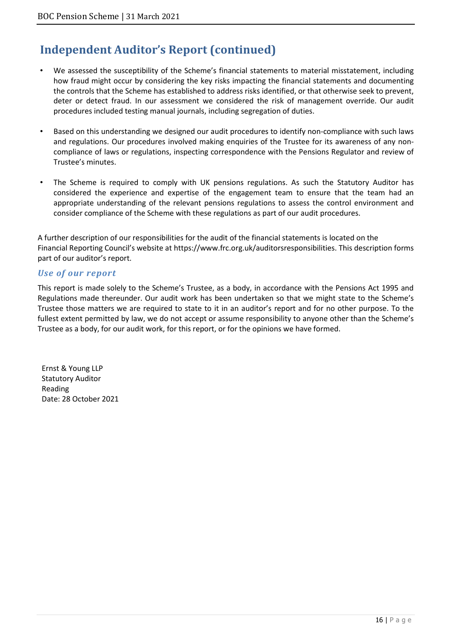# **Independent Auditor's Report (continued)**

- We assessed the susceptibility of the Scheme's financial statements to material misstatement, including how fraud might occur by considering the key risks impacting the financial statements and documenting the controls that the Scheme has established to address risks identified, or that otherwise seek to prevent, deter or detect fraud. In our assessment we considered the risk of management override. Our audit procedures included testing manual journals, including segregation of duties.
- Based on this understanding we designed our audit procedures to identify non-compliance with such laws and regulations. Our procedures involved making enquiries of the Trustee for its awareness of any noncompliance of laws or regulations, inspecting correspondence with the Pensions Regulator and review of Trustee's minutes.
- The Scheme is required to comply with UK pensions regulations. As such the Statutory Auditor has considered the experience and expertise of the engagement team to ensure that the team had an appropriate understanding of the relevant pensions regulations to assess the control environment and consider compliance of the Scheme with these regulations as part of our audit procedures.

A further description of our responsibilities for the audit of the financial statements is located on the Financial Reporting Council's website at https://www.frc.org.uk/auditorsresponsibilities. This description forms part of our auditor's report.

#### *Use of our report*

This report is made solely to the Scheme's Trustee, as a body, in accordance with the Pensions Act 1995 and Regulations made thereunder. Our audit work has been undertaken so that we might state to the Scheme's Trustee those matters we are required to state to it in an auditor's report and for no other purpose. To the fullest extent permitted by law, we do not accept or assume responsibility to anyone other than the Scheme's Trustee as a body, for our audit work, for this report, or for the opinions we have formed.

Ernst & Young LLP Statutory Auditor Reading Date: 28 October 2021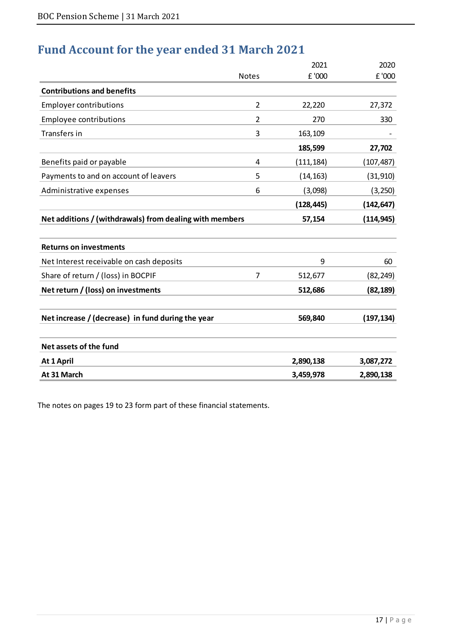# **Fund Account for the year ended 31 March 2021**

|                                                         |                | 2021       | 2020       |
|---------------------------------------------------------|----------------|------------|------------|
|                                                         | <b>Notes</b>   | £ '000     | £ '000     |
| <b>Contributions and benefits</b>                       |                |            |            |
| <b>Employer contributions</b>                           | $\overline{2}$ | 22,220     | 27,372     |
| <b>Employee contributions</b>                           | $\overline{2}$ | 270        | 330        |
| Transfers in                                            | 3              | 163,109    |            |
|                                                         |                | 185,599    | 27,702     |
| Benefits paid or payable                                | 4              | (111, 184) | (107, 487) |
| Payments to and on account of leavers                   | 5              | (14, 163)  | (31, 910)  |
| Administrative expenses                                 | 6              | (3,098)    | (3, 250)   |
|                                                         |                | (128, 445) | (142, 647) |
| Net additions / (withdrawals) from dealing with members |                | 57,154     | (114, 945) |
|                                                         |                |            |            |
| <b>Returns on investments</b>                           |                |            |            |
| Net Interest receivable on cash deposits                |                | 9          | 60         |
| Share of return / (loss) in BOCPIF                      | 7              | 512,677    | (82, 249)  |
| Net return / (loss) on investments                      |                | 512,686    | (82, 189)  |
| Net increase / (decrease) in fund during the year       |                | 569,840    | (197, 134) |
|                                                         |                |            |            |
| Net assets of the fund                                  |                |            |            |
| At 1 April                                              |                | 2,890,138  | 3,087,272  |
| At 31 March                                             |                | 3,459,978  | 2,890,138  |

The notes on pages 19 to 23 form part of these financial statements.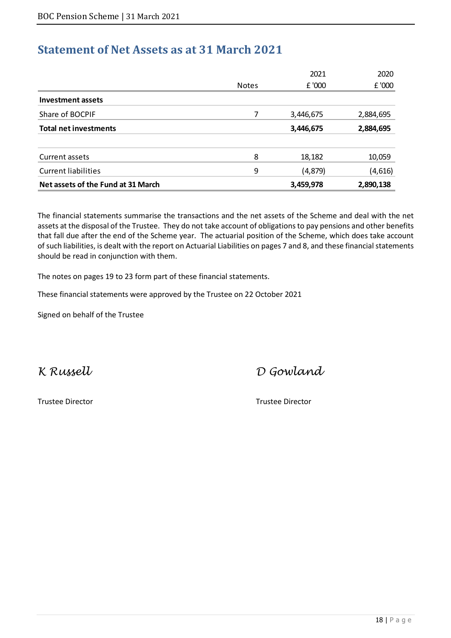# **Statement of Net Assets as at 31 March 2021**

|                                    |              | 2021      | 2020      |
|------------------------------------|--------------|-----------|-----------|
|                                    | <b>Notes</b> | £ '000    | £ '000    |
| Investment assets                  |              |           |           |
| Share of BOCPIF                    |              | 3,446,675 | 2,884,695 |
| <b>Total net investments</b>       |              | 3,446,675 | 2,884,695 |
| Current assets                     | 8            | 18,182    | 10,059    |
| <b>Current liabilities</b>         | 9            | (4, 879)  | (4,616)   |
| Net assets of the Fund at 31 March |              | 3,459,978 | 2,890,138 |

The financial statements summarise the transactions and the net assets of the Scheme and deal with the net assets at the disposal of the Trustee. They do not take account of obligations to pay pensions and other benefits that fall due after the end of the Scheme year. The actuarial position of the Scheme, which does take account of such liabilities, is dealt with the report on Actuarial Liabilities on pages 7 and 8, and these financial statements should be read in conjunction with them.

The notes on pages 19 to 23 form part of these financial statements.

These financial statements were approved by the Trustee on 22 October 2021

Signed on behalf of the Trustee

Trustee Director Trustee Director

K Russell D Gowland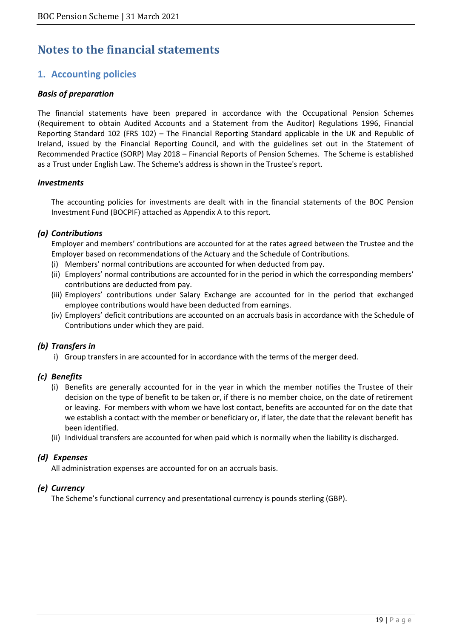# **Notes to the financial statements**

### **1. Accounting policies**

#### *Basis of preparation*

The financial statements have been prepared in accordance with the Occupational Pension Schemes (Requirement to obtain Audited Accounts and a Statement from the Auditor) Regulations 1996, Financial Reporting Standard 102 (FRS 102) – The Financial Reporting Standard applicable in the UK and Republic of Ireland, issued by the Financial Reporting Council, and with the guidelines set out in the Statement of Recommended Practice (SORP) May 2018 – Financial Reports of Pension Schemes. The Scheme is established as a Trust under English Law. The Scheme's address is shown in the Trustee's report.

#### *Investments*

The accounting policies for investments are dealt with in the financial statements of the BOC Pension Investment Fund (BOCPIF) attached as Appendix A to this report.

#### *(a) Contributions*

Employer and members' contributions are accounted for at the rates agreed between the Trustee and the Employer based on recommendations of the Actuary and the Schedule of Contributions.

- (i) Members' normal contributions are accounted for when deducted from pay.
- (ii) Employers' normal contributions are accounted for in the period in which the corresponding members' contributions are deducted from pay.
- (iii) Employers' contributions under Salary Exchange are accounted for in the period that exchanged employee contributions would have been deducted from earnings.
- (iv) Employers' deficit contributions are accounted on an accruals basis in accordance with the Schedule of Contributions under which they are paid.

#### *(b) Transfers in*

i) Group transfers in are accounted for in accordance with the terms of the merger deed.

#### *(c) Benefits*

- (i) Benefits are generally accounted for in the year in which the member notifies the Trustee of their decision on the type of benefit to be taken or, if there is no member choice, on the date of retirement or leaving. For members with whom we have lost contact, benefits are accounted for on the date that we establish a contact with the member or beneficiary or, if later, the date that the relevant benefit has been identified.
- (ii) Individual transfers are accounted for when paid which is normally when the liability is discharged.

#### *(d) Expenses*

All administration expenses are accounted for on an accruals basis.

#### *(e) Currency*

The Scheme's functional currency and presentational currency is pounds sterling (GBP).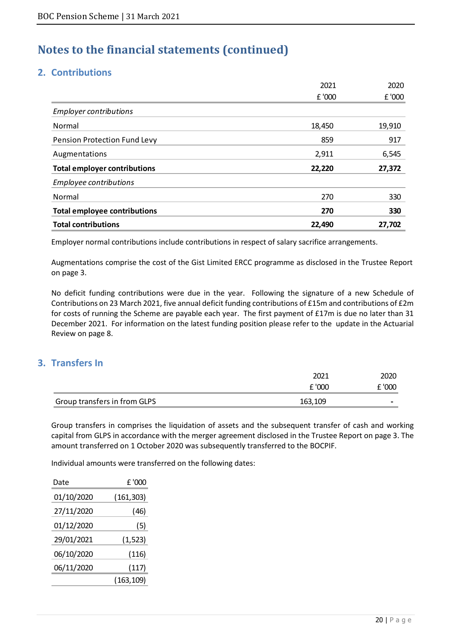### **2. Contributions**

|                                     | 2021   | 2020   |
|-------------------------------------|--------|--------|
|                                     | £ '000 | £ '000 |
| <b>Employer contributions</b>       |        |        |
| Normal                              | 18,450 | 19,910 |
| Pension Protection Fund Levy        | 859    | 917    |
| Augmentations                       | 2,911  | 6,545  |
| <b>Total employer contributions</b> | 22,220 | 27,372 |
| Employee contributions              |        |        |
| Normal                              | 270    | 330    |
| <b>Total employee contributions</b> | 270    | 330    |
| <b>Total contributions</b>          | 22,490 | 27,702 |

Employer normal contributions include contributions in respect of salary sacrifice arrangements.

Augmentations comprise the cost of the Gist Limited ERCC programme as disclosed in the Trustee Report on page 3.

No deficit funding contributions were due in the year. Following the signature of a new Schedule of Contributions on 23 March 2021, five annual deficit funding contributions of £15m and contributions of £2m for costs of running the Scheme are payable each year. The first payment of £17m is due no later than 31 December 2021. For information on the latest funding position please refer to the update in the Actuarial Review on page 8.

### **3. Transfers In**

|                              | 2021    | 2020   |
|------------------------------|---------|--------|
|                              | £ '000  | £ '000 |
| Group transfers in from GLPS | 163,109 |        |

Group transfers in comprises the liquidation of assets and the subsequent transfer of cash and working capital from GLPS in accordance with the merger agreement disclosed in the Trustee Report on page 3. The amount transferred on 1 October 2020 was subsequently transferred to the BOCPIF.

Individual amounts were transferred on the following dates:

| Date       | £ '000     |
|------------|------------|
| 01/10/2020 | (161, 303) |
| 27/11/2020 | (46)       |
| 01/12/2020 | (5)        |
| 29/01/2021 | (1, 523)   |
| 06/10/2020 | (116)      |
| 06/11/2020 | (117)      |
|            | (163,109)  |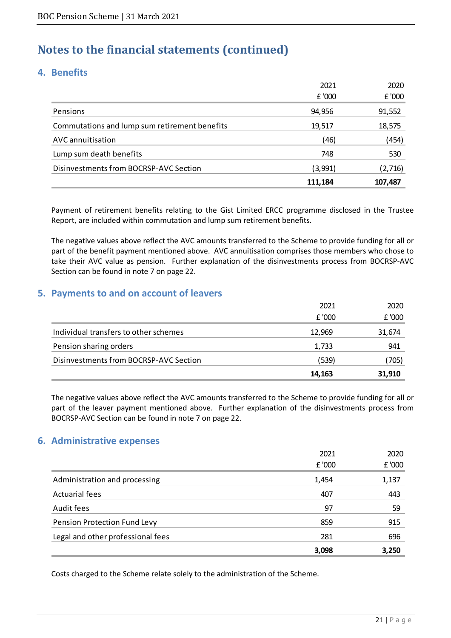### **4. Benefits**

|                                               | 111,184 | 107,487 |
|-----------------------------------------------|---------|---------|
| Disinvestments from BOCRSP-AVC Section        | (3,991) | (2,716) |
| Lump sum death benefits                       | 748     | 530     |
| AVC annuitisation                             | (46)    | (454)   |
| Commutations and lump sum retirement benefits | 19,517  | 18,575  |
| Pensions                                      | 94,956  | 91,552  |
|                                               | £ '000  | £ '000  |
|                                               | 2021    | 2020    |

Payment of retirement benefits relating to the Gist Limited ERCC programme disclosed in the Trustee Report, are included within commutation and lump sum retirement benefits.

The negative values above reflect the AVC amounts transferred to the Scheme to provide funding for all or part of the benefit payment mentioned above. AVC annuitisation comprises those members who chose to take their AVC value as pension. Further explanation of the disinvestments process from BOCRSP-AVC Section can be found in note 7 on page 22.

### **5. Payments to and on account of leavers**

|                                        | 14,163 | 31,910 |
|----------------------------------------|--------|--------|
| Disinvestments from BOCRSP-AVC Section | (539)  | (705)  |
| Pension sharing orders                 | 1,733  | 941    |
| Individual transfers to other schemes  | 12,969 | 31,674 |
|                                        | £ '000 | £ '000 |
|                                        | 2021   | 2020   |

The negative values above reflect the AVC amounts transferred to the Scheme to provide funding for all or part of the leaver payment mentioned above. Further explanation of the disinvestments process from BOCRSP-AVC Section can be found in note 7 on page 22.

### **6. Administrative expenses**

|                                   | 2021   | 2020   |
|-----------------------------------|--------|--------|
|                                   | £ '000 | £ '000 |
| Administration and processing     | 1,454  | 1,137  |
| <b>Actuarial fees</b>             | 407    | 443    |
| Audit fees                        | 97     | 59     |
| Pension Protection Fund Levy      | 859    | 915    |
| Legal and other professional fees | 281    | 696    |
|                                   | 3,098  | 3,250  |

Costs charged to the Scheme relate solely to the administration of the Scheme.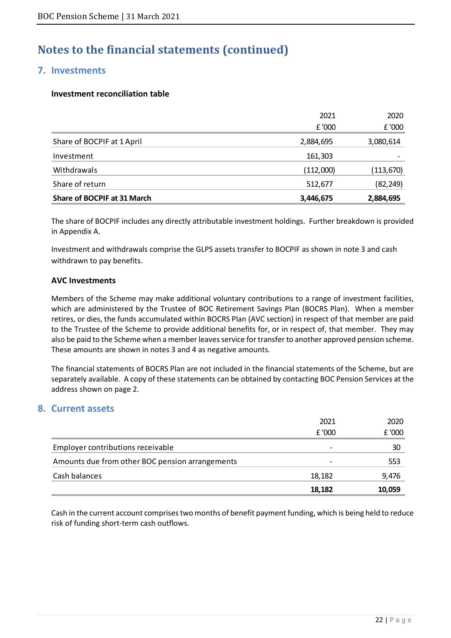### **7. Investments**

#### **Investment reconciliation table**

|                             | 2021      | 2020      |
|-----------------------------|-----------|-----------|
|                             | £ '000    | £ '000    |
| Share of BOCPIF at 1 April  | 2,884,695 | 3,080,614 |
| Investment                  | 161,303   |           |
| Withdrawals                 | (112,000) | (113,670) |
| Share of return             | 512,677   | (82, 249) |
| Share of BOCPIF at 31 March | 3,446,675 | 2,884,695 |

The share of BOCPIF includes any directly attributable investment holdings. Further breakdown is provided in Appendix A.

Investment and withdrawals comprise the GLPS assets transfer to BOCPIF as shown in note 3 and cash withdrawn to pay benefits.

#### **AVC Investments**

Members of the Scheme may make additional voluntary contributions to a range of investment facilities, which are administered by the Trustee of BOC Retirement Savings Plan (BOCRS Plan). When a member retires, or dies, the funds accumulated within BOCRS Plan (AVC section) in respect of that member are paid to the Trustee of the Scheme to provide additional benefits for, or in respect of, that member. They may also be paid to the Scheme when a member leaves service for transfer to another approved pension scheme. These amounts are shown in notes 3 and 4 as negative amounts.

The financial statements of BOCRS Plan are not included in the financial statements of the Scheme, but are separately available. A copy of these statements can be obtained by contacting BOC Pension Services at the address shown on page 2.

### **8. Current assets**

|                                                 | 2021                     | 2020   |
|-------------------------------------------------|--------------------------|--------|
|                                                 | £ '000                   | £ '000 |
| Employer contributions receivable               | $\overline{\phantom{0}}$ | 30     |
| Amounts due from other BOC pension arrangements | $\overline{\phantom{0}}$ | 553    |
| Cash balances                                   | 18,182                   | 9,476  |
|                                                 | 18,182                   | 10,059 |

Cash in the current account comprises two months of benefit payment funding, which is being held to reduce risk of funding short-term cash outflows.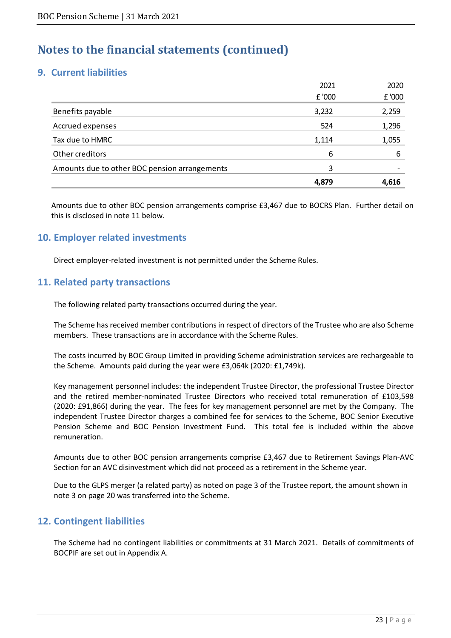### **9. Current liabilities**

|                                               | 4,879  | 4,616  |
|-----------------------------------------------|--------|--------|
| Amounts due to other BOC pension arrangements | 3      |        |
| Other creditors                               | 6      | 6      |
| Tax due to HMRC                               | 1,114  | 1,055  |
| Accrued expenses                              | 524    | 1,296  |
| Benefits payable                              | 3,232  | 2,259  |
|                                               | £ '000 | £ '000 |
|                                               | 2021   | 2020   |

Amounts due to other BOC pension arrangements comprise £3,467 due to BOCRS Plan. Further detail on this is disclosed in note 11 below.

### **10. Employer related investments**

Direct employer-related investment is not permitted under the Scheme Rules.

### **11. Related party transactions**

The following related party transactions occurred during the year.

The Scheme has received member contributions in respect of directors of the Trustee who are also Scheme members. These transactions are in accordance with the Scheme Rules.

The costs incurred by BOC Group Limited in providing Scheme administration services are rechargeable to the Scheme. Amounts paid during the year were £3,064k (2020: £1,749k).

Key management personnel includes: the independent Trustee Director, the professional Trustee Director and the retired member-nominated Trustee Directors who received total remuneration of £103,598 (2020: £91,866) during the year. The fees for key management personnel are met by the Company. The independent Trustee Director charges a combined fee for services to the Scheme, BOC Senior Executive Pension Scheme and BOC Pension Investment Fund. This total fee is included within the above remuneration.

Amounts due to other BOC pension arrangements comprise £3,467 due to Retirement Savings Plan-AVC Section for an AVC disinvestment which did not proceed as a retirement in the Scheme year.

Due to the GLPS merger (a related party) as noted on page 3 of the Trustee report, the amount shown in note 3 on page 20 was transferred into the Scheme.

### **12. Contingent liabilities**

The Scheme had no contingent liabilities or commitments at 31 March 2021. Details of commitments of BOCPIF are set out in Appendix A.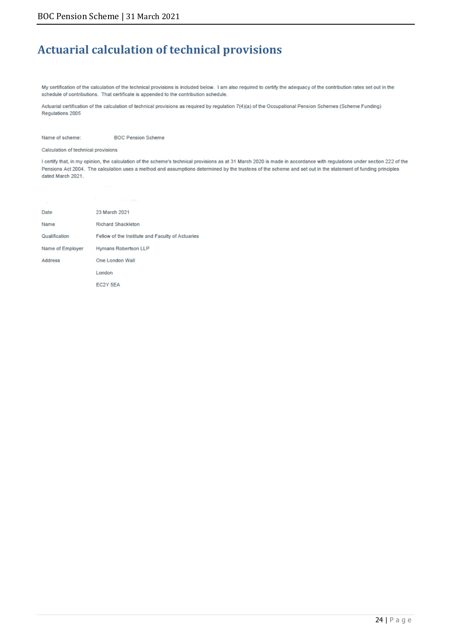# **Actuarial calculation of technical provisions**

My certification of the calculation of the technical provisions is included below. I am also required to certify the adequacy of the contribution rates set out in the schedule of contributions. That certificate is appended to the contribution schedule.

Actuarial certification of the calculation of technical provisions as required by regulation 7(4)(a) of the Occupational Pension Schemes (Scheme Funding) Regulations 2005

**BOC Pension Scheme** Name of scheme:

Calculation of technical provisions

I certify that, in my opinion, the calculation of the scheme's technical provisions as at 31 March 2020 is made in accordance with regulations under section 222 of the Pensions Act 2004. The calculation uses a method and assumptions determined by the trustees of the scheme and set out in the statement of funding principles dated March 2021.

| Date             | 23 March 2021                                    |
|------------------|--------------------------------------------------|
| Name             | <b>Richard Shackleton</b>                        |
| Qualification    | Fellow of the Institute and Faculty of Actuaries |
| Name of Employer | <b>Hymans Robertson LLP</b>                      |
| <b>Address</b>   | One London Wall                                  |
|                  | London                                           |
|                  | EC2Y 5EA                                         |
|                  |                                                  |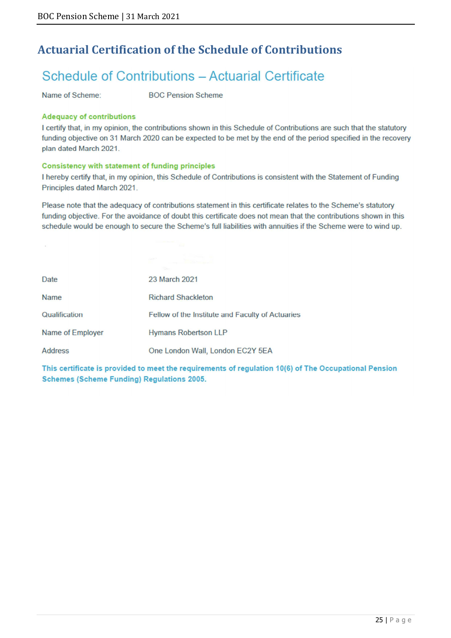# **Actuarial Certification of the Schedule of Contributions**

# Schedule of Contributions - Actuarial Certificate

Name of Scheme:

 $\sim$ 

**BOC Pension Scheme** 

#### **Adequacy of contributions**

I certify that, in my opinion, the contributions shown in this Schedule of Contributions are such that the statutory funding objective on 31 March 2020 can be expected to be met by the end of the period specified in the recovery plan dated March 2021.

#### Consistency with statement of funding principles

I hereby certify that, in my opinion, this Schedule of Contributions is consistent with the Statement of Funding Principles dated March 2021.

Please note that the adequacy of contributions statement in this certificate relates to the Scheme's statutory funding objective. For the avoidance of doubt this certificate does not mean that the contributions shown in this schedule would be enough to secure the Scheme's full liabilities with annuities if the Scheme were to wind up.

| Date             | 23 March 2021                                    |
|------------------|--------------------------------------------------|
| <b>Name</b>      | <b>Richard Shackleton</b>                        |
| Qualification    | Fellow of the Institute and Faculty of Actuaries |
| Name of Employer | <b>Hymans Robertson LLP</b>                      |
| <b>Address</b>   | One London Wall, London EC2Y 5EA                 |

This certificate is provided to meet the requirements of regulation 10(6) of The Occupational Pension **Schemes (Scheme Funding) Regulations 2005.**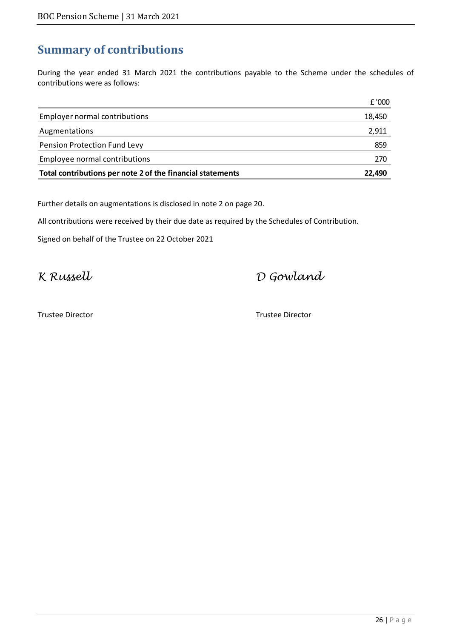# **Summary of contributions**

During the year ended 31 March 2021 the contributions payable to the Scheme under the schedules of contributions were as follows:

| Total contributions per note 2 of the financial statements | 22.490 |
|------------------------------------------------------------|--------|
| Employee normal contributions                              | 270    |
| <b>Pension Protection Fund Levy</b>                        | 859    |
| Augmentations                                              | 2,911  |
| <b>Employer normal contributions</b>                       | 18,450 |
|                                                            | £ '000 |

Further details on augmentations is disclosed in note 2 on page 20.

All contributions were received by their due date as required by the Schedules of Contribution.

Signed on behalf of the Trustee on 22 October 2021

K Russell D Gowland

Trustee Director Trustee Director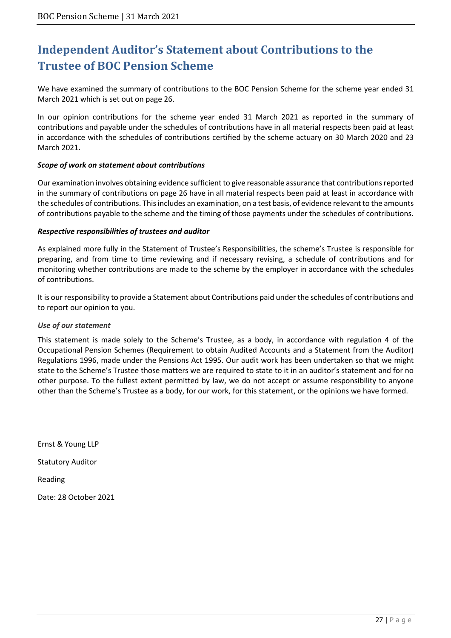# **Independent Auditor's Statement about Contributions to the Trustee of BOC Pension Scheme**

We have examined the summary of contributions to the BOC Pension Scheme for the scheme year ended 31 March 2021 which is set out on page 26.

In our opinion contributions for the scheme year ended 31 March 2021 as reported in the summary of contributions and payable under the schedules of contributions have in all material respects been paid at least in accordance with the schedules of contributions certified by the scheme actuary on 30 March 2020 and 23 March 2021.

#### *Scope of work on statement about contributions*

Our examination involves obtaining evidence sufficient to give reasonable assurance that contributions reported in the summary of contributions on page 26 have in all material respects been paid at least in accordance with the schedules of contributions. This includes an examination, on a test basis, of evidence relevant to the amounts of contributions payable to the scheme and the timing of those payments under the schedules of contributions.

#### *Respective responsibilities of trustees and auditor*

As explained more fully in the Statement of Trustee's Responsibilities, the scheme's Trustee is responsible for preparing, and from time to time reviewing and if necessary revising, a schedule of contributions and for monitoring whether contributions are made to the scheme by the employer in accordance with the schedules of contributions.

It is our responsibility to provide a Statement about Contributions paid under the schedules of contributions and to report our opinion to you.

#### *Use of our statement*

This statement is made solely to the Scheme's Trustee, as a body, in accordance with regulation 4 of the Occupational Pension Schemes (Requirement to obtain Audited Accounts and a Statement from the Auditor) Regulations 1996, made under the Pensions Act 1995. Our audit work has been undertaken so that we might state to the Scheme's Trustee those matters we are required to state to it in an auditor's statement and for no other purpose. To the fullest extent permitted by law, we do not accept or assume responsibility to anyone other than the Scheme's Trustee as a body, for our work, for this statement, or the opinions we have formed.

Ernst & Young LLP Statutory Auditor Reading Date: 28 October 2021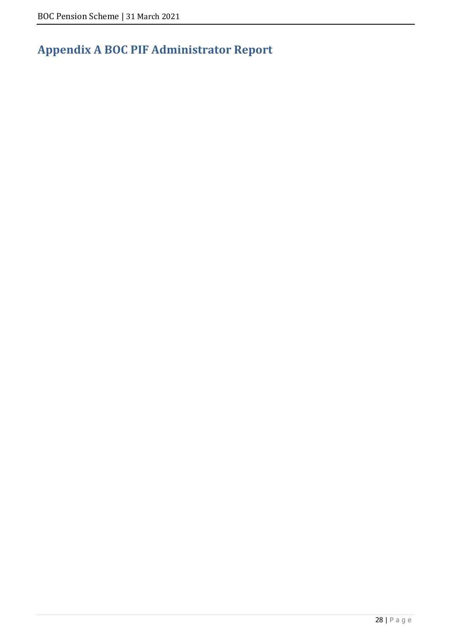# **Appendix A BOC PIF Administrator Report**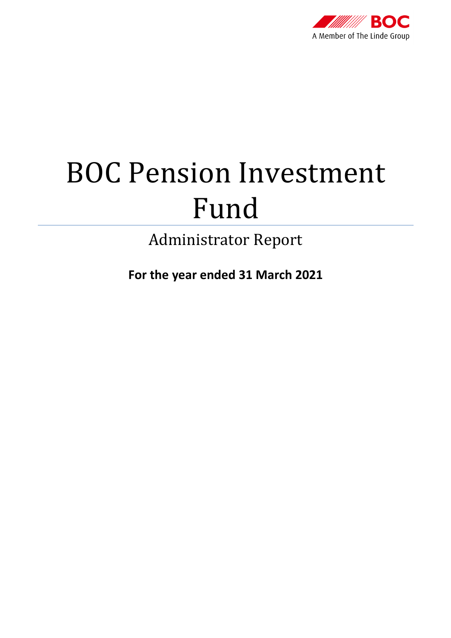

# BOC Pension Investment Fund

Administrator Report

**For the year ended 31 March 2021**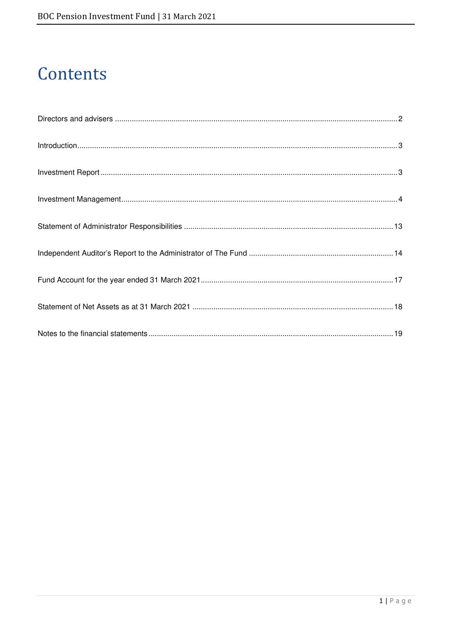# Contents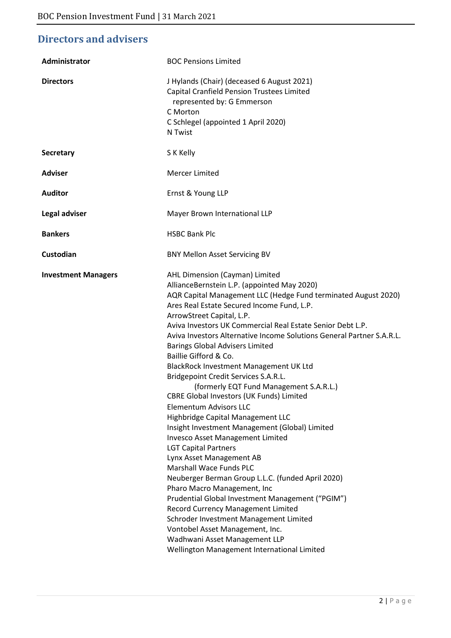# **Directors and advisers**

| Administrator              | <b>BOC Pensions Limited</b>                                                                                                                                                                                                                                                                                                                                                                                                                                                                                                                                                                                                                                                                                                                                                                                                                                                                                                                                                                                                                                                                                                                                                                                |
|----------------------------|------------------------------------------------------------------------------------------------------------------------------------------------------------------------------------------------------------------------------------------------------------------------------------------------------------------------------------------------------------------------------------------------------------------------------------------------------------------------------------------------------------------------------------------------------------------------------------------------------------------------------------------------------------------------------------------------------------------------------------------------------------------------------------------------------------------------------------------------------------------------------------------------------------------------------------------------------------------------------------------------------------------------------------------------------------------------------------------------------------------------------------------------------------------------------------------------------------|
| <b>Directors</b>           | J Hylands (Chair) (deceased 6 August 2021)<br>Capital Cranfield Pension Trustees Limited<br>represented by: G Emmerson<br>C Morton<br>C Schlegel (appointed 1 April 2020)<br>N Twist                                                                                                                                                                                                                                                                                                                                                                                                                                                                                                                                                                                                                                                                                                                                                                                                                                                                                                                                                                                                                       |
| <b>Secretary</b>           | S K Kelly                                                                                                                                                                                                                                                                                                                                                                                                                                                                                                                                                                                                                                                                                                                                                                                                                                                                                                                                                                                                                                                                                                                                                                                                  |
| <b>Adviser</b>             | Mercer Limited                                                                                                                                                                                                                                                                                                                                                                                                                                                                                                                                                                                                                                                                                                                                                                                                                                                                                                                                                                                                                                                                                                                                                                                             |
| <b>Auditor</b>             | Ernst & Young LLP                                                                                                                                                                                                                                                                                                                                                                                                                                                                                                                                                                                                                                                                                                                                                                                                                                                                                                                                                                                                                                                                                                                                                                                          |
| Legal adviser              | Mayer Brown International LLP                                                                                                                                                                                                                                                                                                                                                                                                                                                                                                                                                                                                                                                                                                                                                                                                                                                                                                                                                                                                                                                                                                                                                                              |
| <b>Bankers</b>             | <b>HSBC Bank Plc</b>                                                                                                                                                                                                                                                                                                                                                                                                                                                                                                                                                                                                                                                                                                                                                                                                                                                                                                                                                                                                                                                                                                                                                                                       |
| Custodian                  | <b>BNY Mellon Asset Servicing BV</b>                                                                                                                                                                                                                                                                                                                                                                                                                                                                                                                                                                                                                                                                                                                                                                                                                                                                                                                                                                                                                                                                                                                                                                       |
| <b>Investment Managers</b> | AHL Dimension (Cayman) Limited<br>AllianceBernstein L.P. (appointed May 2020)<br>AQR Capital Management LLC (Hedge Fund terminated August 2020)<br>Ares Real Estate Secured Income Fund, L.P.<br>ArrowStreet Capital, L.P.<br>Aviva Investors UK Commercial Real Estate Senior Debt L.P.<br>Aviva Investors Alternative Income Solutions General Partner S.A.R.L.<br><b>Barings Global Advisers Limited</b><br>Baillie Gifford & Co.<br>BlackRock Investment Management UK Ltd<br>Bridgepoint Credit Services S.A.R.L.<br>(formerly EQT Fund Management S.A.R.L.)<br>CBRE Global Investors (UK Funds) Limited<br>Elementum Advisors LLC<br>Highbridge Capital Management LLC<br>Insight Investment Management (Global) Limited<br>Invesco Asset Management Limited<br><b>LGT Capital Partners</b><br>Lynx Asset Management AB<br><b>Marshall Wace Funds PLC</b><br>Neuberger Berman Group L.L.C. (funded April 2020)<br>Pharo Macro Management, Inc<br>Prudential Global Investment Management ("PGIM")<br>Record Currency Management Limited<br>Schroder Investment Management Limited<br>Vontobel Asset Management, Inc.<br>Wadhwani Asset Management LLP<br>Wellington Management International Limited |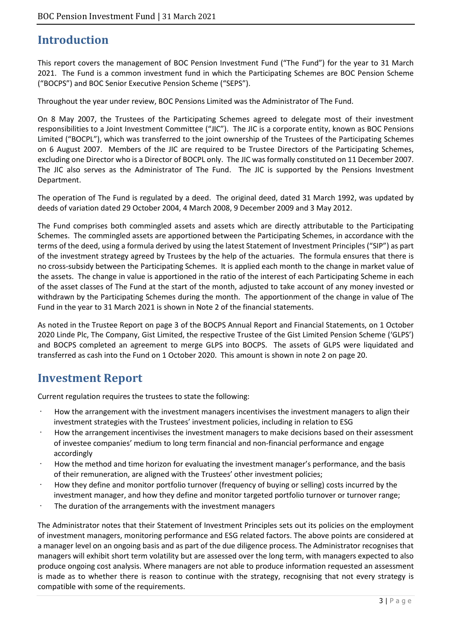# **Introduction**

This report covers the management of BOC Pension Investment Fund ("The Fund") for the year to 31 March 2021. The Fund is a common investment fund in which the Participating Schemes are BOC Pension Scheme ("BOCPS") and BOC Senior Executive Pension Scheme ("SEPS").

Throughout the year under review, BOC Pensions Limited was the Administrator of The Fund.

On 8 May 2007, the Trustees of the Participating Schemes agreed to delegate most of their investment responsibilities to a Joint Investment Committee ("JIC"). The JIC is a corporate entity, known as BOC Pensions Limited ("BOCPL"), which was transferred to the joint ownership of the Trustees of the Participating Schemes on 6 August 2007. Members of the JIC are required to be Trustee Directors of the Participating Schemes, excluding one Director who is a Director of BOCPL only. The JIC was formally constituted on 11 December 2007. The JIC also serves as the Administrator of The Fund. The JIC is supported by the Pensions Investment Department.

The operation of The Fund is regulated by a deed. The original deed, dated 31 March 1992, was updated by deeds of variation dated 29 October 2004, 4 March 2008, 9 December 2009 and 3 May 2012.

The Fund comprises both commingled assets and assets which are directly attributable to the Participating Schemes. The commingled assets are apportioned between the Participating Schemes, in accordance with the terms of the deed, using a formula derived by using the latest Statement of Investment Principles ("SIP") as part of the investment strategy agreed by Trustees by the help of the actuaries. The formula ensures that there is no cross-subsidy between the Participating Schemes. It is applied each month to the change in market value of the assets. The change in value is apportioned in the ratio of the interest of each Participating Scheme in each of the asset classes of The Fund at the start of the month, adjusted to take account of any money invested or withdrawn by the Participating Schemes during the month. The apportionment of the change in value of The Fund in the year to 31 March 2021 is shown in Note 2 of the financial statements.

As noted in the Trustee Report on page 3 of the BOCPS Annual Report and Financial Statements, on 1 October 2020 Linde Plc, The Company, Gist Limited, the respective Trustee of the Gist Limited Pension Scheme ('GLPS') and BOCPS completed an agreement to merge GLPS into BOCPS. The assets of GLPS were liquidated and transferred as cash into the Fund on 1 October 2020. This amount is shown in note 2 on page 20.

# **Investment Report**

Current regulation requires the trustees to state the following:

- How the arrangement with the investment managers incentivises the investment managers to align their investment strategies with the Trustees' investment policies, including in relation to ESG
- How the arrangement incentivises the investment managers to make decisions based on their assessment of investee companies' medium to long term financial and non-financial performance and engage accordingly
- How the method and time horizon for evaluating the investment manager's performance, and the basis of their remuneration, are aligned with the Trustees' other investment policies;
- How they define and monitor portfolio turnover (frequency of buying or selling) costs incurred by the investment manager, and how they define and monitor targeted portfolio turnover or turnover range;
- The duration of the arrangements with the investment managers

The Administrator notes that their Statement of Investment Principles sets out its policies on the employment of investment managers, monitoring performance and ESG related factors. The above points are considered at a manager level on an ongoing basis and as part of the due diligence process. The Administrator recognises that managers will exhibit short term volatility but are assessed over the long term, with managers expected to also produce ongoing cost analysis. Where managers are not able to produce information requested an assessment is made as to whether there is reason to continue with the strategy, recognising that not every strategy is compatible with some of the requirements.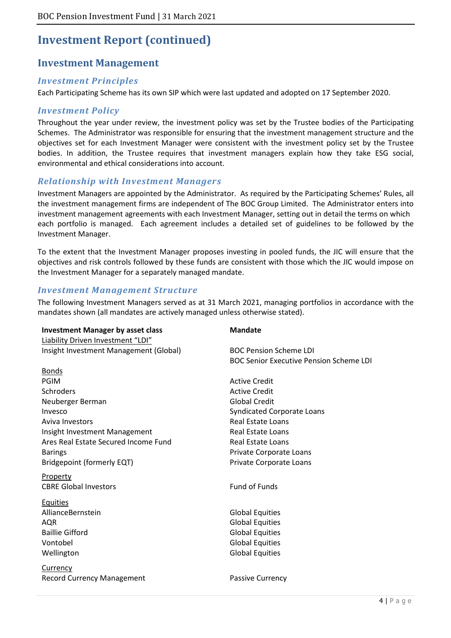### **Investment Management**

#### *Investment Principles*

Each Participating Scheme has its own SIP which were last updated and adopted on 17 September 2020.

#### *Investment Policy*

Throughout the year under review, the investment policy was set by the Trustee bodies of the Participating Schemes. The Administrator was responsible for ensuring that the investment management structure and the objectives set for each Investment Manager were consistent with the investment policy set by the Trustee bodies. In addition, the Trustee requires that investment managers explain how they take ESG social, environmental and ethical considerations into account.

#### *Relationship with Investment Managers*

Investment Managers are appointed by the Administrator. As required by the Participating Schemes' Rules, all the investment management firms are independent of The BOC Group Limited. The Administrator enters into investment management agreements with each Investment Manager, setting out in detail the terms on which each portfolio is managed. Each agreement includes a detailed set of guidelines to be followed by the Investment Manager.

To the extent that the Investment Manager proposes investing in pooled funds, the JIC will ensure that the objectives and risk controls followed by these funds are consistent with those which the JIC would impose on the Investment Manager for a separately managed mandate.

#### *Investment Management Structure*

The following Investment Managers served as at 31 March 2021, managing portfolios in accordance with the mandates shown (all mandates are actively managed unless otherwise stated).

| <b>Investment Manager by asset class</b> | <b>Mandate</b>                                 |
|------------------------------------------|------------------------------------------------|
| Liability Driven Investment "LDI"        |                                                |
| Insight Investment Management (Global)   | <b>BOC Pension Scheme LDI</b>                  |
|                                          | <b>BOC Senior Executive Pension Scheme LDI</b> |
| <b>Bonds</b>                             |                                                |
| <b>PGIM</b>                              | <b>Active Credit</b>                           |
| Schroders                                | <b>Active Credit</b>                           |
| Neuberger Berman                         | <b>Global Credit</b>                           |
| Invesco                                  | <b>Syndicated Corporate Loans</b>              |
| Aviva Investors                          | <b>Real Estate Loans</b>                       |
| Insight Investment Management            | <b>Real Estate Loans</b>                       |
| Ares Real Estate Secured Income Fund     | <b>Real Estate Loans</b>                       |
| <b>Barings</b>                           | Private Corporate Loans                        |
| Bridgepoint (formerly EQT)               | Private Corporate Loans                        |
| Property                                 |                                                |
| <b>CBRE Global Investors</b>             | <b>Fund of Funds</b>                           |
|                                          |                                                |
| <b>Equities</b>                          |                                                |
| AllianceBernstein                        | <b>Global Equities</b>                         |
| AQR                                      | <b>Global Equities</b>                         |
| <b>Baillie Gifford</b>                   | <b>Global Equities</b>                         |
| Vontobel                                 | <b>Global Equities</b>                         |
| Wellington                               | <b>Global Equities</b>                         |
| <b>Currency</b>                          |                                                |
| <b>Record Currency Management</b>        | <b>Passive Currency</b>                        |
|                                          |                                                |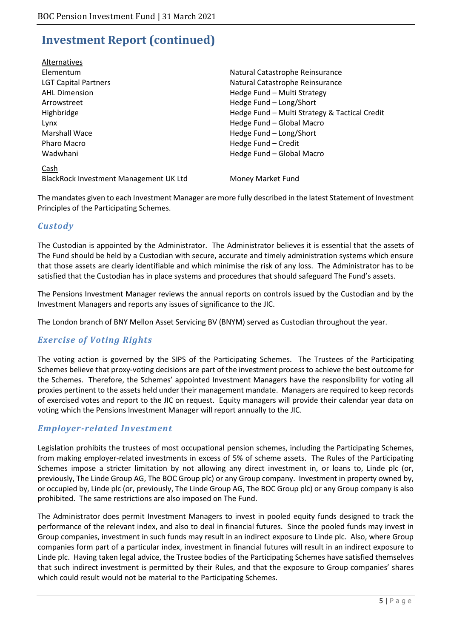| Alternatives                           |                                               |
|----------------------------------------|-----------------------------------------------|
| Elementum                              | Natural Catastrophe Reinsurance               |
| <b>LGT Capital Partners</b>            | Natural Catastrophe Reinsurance               |
| <b>AHL Dimension</b>                   | Hedge Fund - Multi Strategy                   |
| Arrowstreet                            | Hedge Fund - Long/Short                       |
| Highbridge                             | Hedge Fund - Multi Strategy & Tactical Credit |
| Lynx                                   | Hedge Fund - Global Macro                     |
| <b>Marshall Wace</b>                   | Hedge Fund - Long/Short                       |
| Pharo Macro                            | Hedge Fund - Credit                           |
| Wadwhani                               | Hedge Fund - Global Macro                     |
| Cash                                   |                                               |
| BlackRock Investment Management UK Ltd | Money Market Fund                             |
|                                        |                                               |

The mandates given to each Investment Manager are more fully described in the latest Statement of Investment Principles of the Participating Schemes.

### *Custody*

The Custodian is appointed by the Administrator. The Administrator believes it is essential that the assets of The Fund should be held by a Custodian with secure, accurate and timely administration systems which ensure that those assets are clearly identifiable and which minimise the risk of any loss. The Administrator has to be satisfied that the Custodian has in place systems and procedures that should safeguard The Fund's assets.

The Pensions Investment Manager reviews the annual reports on controls issued by the Custodian and by the Investment Managers and reports any issues of significance to the JIC.

The London branch of BNY Mellon Asset Servicing BV (BNYM) served as Custodian throughout the year.

### *Exercise of Voting Rights*

The voting action is governed by the SIPS of the Participating Schemes. The Trustees of the Participating Schemes believe that proxy-voting decisions are part of the investment process to achieve the best outcome for the Schemes. Therefore, the Schemes' appointed Investment Managers have the responsibility for voting all proxies pertinent to the assets held under their management mandate. Managers are required to keep records of exercised votes and report to the JIC on request. Equity managers will provide their calendar year data on voting which the Pensions Investment Manager will report annually to the JIC.

### *Employer-related Investment*

Legislation prohibits the trustees of most occupational pension schemes, including the Participating Schemes, from making employer-related investments in excess of 5% of scheme assets. The Rules of the Participating Schemes impose a stricter limitation by not allowing any direct investment in, or loans to, Linde plc (or, previously, The Linde Group AG, The BOC Group plc) or any Group company. Investment in property owned by, or occupied by, Linde plc (or, previously, The Linde Group AG, The BOC Group plc) or any Group company is also prohibited. The same restrictions are also imposed on The Fund.

The Administrator does permit Investment Managers to invest in pooled equity funds designed to track the performance of the relevant index, and also to deal in financial futures. Since the pooled funds may invest in Group companies, investment in such funds may result in an indirect exposure to Linde plc. Also, where Group companies form part of a particular index, investment in financial futures will result in an indirect exposure to Linde plc. Having taken legal advice, the Trustee bodies of the Participating Schemes have satisfied themselves that such indirect investment is permitted by their Rules, and that the exposure to Group companies' shares which could result would not be material to the Participating Schemes.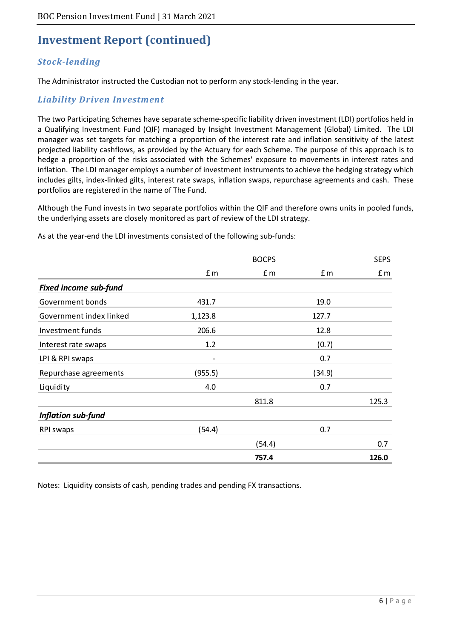### *Stock-lending*

The Administrator instructed the Custodian not to perform any stock-lending in the year.

### *Liability Driven Investment*

The two Participating Schemes have separate scheme-specific liability driven investment (LDI) portfolios held in a Qualifying Investment Fund (QIF) managed by Insight Investment Management (Global) Limited. The LDI manager was set targets for matching a proportion of the interest rate and inflation sensitivity of the latest projected liability cashflows, as provided by the Actuary for each Scheme. The purpose of this approach is to hedge a proportion of the risks associated with the Schemes' exposure to movements in interest rates and inflation. The LDI manager employs a number of investment instruments to achieve the hedging strategy which includes gilts, index-linked gilts, interest rate swaps, inflation swaps, repurchase agreements and cash. These portfolios are registered in the name of The Fund.

Although the Fund invests in two separate portfolios within the QIF and therefore owns units in pooled funds, the underlying assets are closely monitored as part of review of the LDI strategy.

|                              |         | <b>BOCPS</b> |        | <b>SEPS</b> |
|------------------------------|---------|--------------|--------|-------------|
|                              | £ m     | £ m          | f m    | f m         |
| <b>Fixed income sub-fund</b> |         |              |        |             |
| Government bonds             | 431.7   |              | 19.0   |             |
| Government index linked      | 1,123.8 |              | 127.7  |             |
| Investment funds             | 206.6   |              | 12.8   |             |
| Interest rate swaps          | 1.2     |              | (0.7)  |             |
| LPI & RPI swaps              | -       |              | 0.7    |             |
| Repurchase agreements        | (955.5) |              | (34.9) |             |
| Liquidity                    | 4.0     |              | 0.7    |             |
|                              |         | 811.8        |        | 125.3       |
| Inflation sub-fund           |         |              |        |             |
| RPI swaps                    | (54.4)  |              | 0.7    |             |
|                              |         | (54.4)       |        | 0.7         |
|                              |         | 757.4        |        | 126.0       |

As at the year-end the LDI investments consisted of the following sub-funds:

Notes: Liquidity consists of cash, pending trades and pending FX transactions.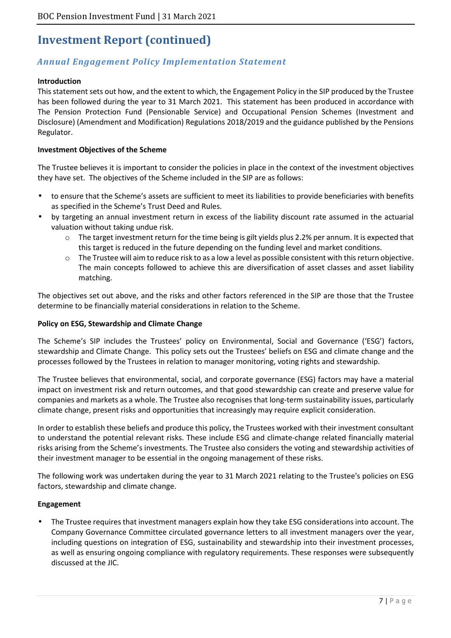### *Annual Engagement Policy Implementation Statement*

#### **Introduction**

This statement sets out how, and the extent to which, the Engagement Policy in the SIP produced by the Trustee has been followed during the year to 31 March 2021. This statement has been produced in accordance with The Pension Protection Fund (Pensionable Service) and Occupational Pension Schemes (Investment and Disclosure) (Amendment and Modification) Regulations 2018/2019 and the guidance published by the Pensions Regulator.

#### **Investment Objectives of the Scheme**

The Trustee believes it is important to consider the policies in place in the context of the investment objectives they have set. The objectives of the Scheme included in the SIP are as follows:

- to ensure that the Scheme's assets are sufficient to meet its liabilities to provide beneficiaries with benefits as specified in the Scheme's Trust Deed and Rules.
- by targeting an annual investment return in excess of the liability discount rate assumed in the actuarial valuation without taking undue risk.
	- The target investment return for the time being is gilt yields plus 2.2% per annum. It is expected that this target is reduced in the future depending on the funding level and market conditions.
	- $\circ$  The Trustee will aim to reduce risk to as a low a level as possible consistent with this return objective. The main concepts followed to achieve this are diversification of asset classes and asset liability matching.

The objectives set out above, and the risks and other factors referenced in the SIP are those that the Trustee determine to be financially material considerations in relation to the Scheme.

#### **Policy on ESG, Stewardship and Climate Change**

The Scheme's SIP includes the Trustees' policy on Environmental, Social and Governance ('ESG') factors, stewardship and Climate Change. This policy sets out the Trustees' beliefs on ESG and climate change and the processes followed by the Trustees in relation to manager monitoring, voting rights and stewardship.

The Trustee believes that environmental, social, and corporate governance (ESG) factors may have a material impact on investment risk and return outcomes, and that good stewardship can create and preserve value for companies and markets as a whole. The Trustee also recognises that long-term sustainability issues, particularly climate change, present risks and opportunities that increasingly may require explicit consideration.

In order to establish these beliefs and produce this policy, the Trustees worked with their investment consultant to understand the potential relevant risks. These include ESG and climate-change related financially material risks arising from the Scheme's investments. The Trustee also considers the voting and stewardship activities of their investment manager to be essential in the ongoing management of these risks.

The following work was undertaken during the year to 31 March 2021 relating to the Trustee's policies on ESG factors, stewardship and climate change.

#### **Engagement**

• The Trustee requires that investment managers explain how they take ESG considerations into account. The Company Governance Committee circulated governance letters to all investment managers over the year, including questions on integration of ESG, sustainability and stewardship into their investment processes, as well as ensuring ongoing compliance with regulatory requirements. These responses were subsequently discussed at the JIC.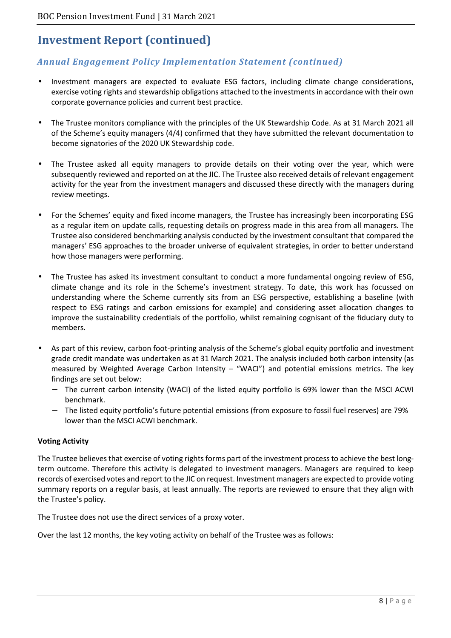### *Annual Engagement Policy Implementation Statement (continued)*

- Investment managers are expected to evaluate ESG factors, including climate change considerations, exercise voting rights and stewardship obligations attached to the investments in accordance with their own corporate governance policies and current best practice.
- The Trustee monitors compliance with the principles of the UK Stewardship Code. As at 31 March 2021 all of the Scheme's equity managers (4/4) confirmed that they have submitted the relevant documentation to become signatories of the 2020 UK Stewardship code.
- The Trustee asked all equity managers to provide details on their voting over the year, which were subsequently reviewed and reported on at the JIC. The Trustee also received details of relevant engagement activity for the year from the investment managers and discussed these directly with the managers during review meetings.
- For the Schemes' equity and fixed income managers, the Trustee has increasingly been incorporating ESG as a regular item on update calls, requesting details on progress made in this area from all managers. The Trustee also considered benchmarking analysis conducted by the investment consultant that compared the managers' ESG approaches to the broader universe of equivalent strategies, in order to better understand how those managers were performing.
- The Trustee has asked its investment consultant to conduct a more fundamental ongoing review of ESG, climate change and its role in the Scheme's investment strategy. To date, this work has focussed on understanding where the Scheme currently sits from an ESG perspective, establishing a baseline (with respect to ESG ratings and carbon emissions for example) and considering asset allocation changes to improve the sustainability credentials of the portfolio, whilst remaining cognisant of the fiduciary duty to members.
- As part of this review, carbon foot-printing analysis of the Scheme's global equity portfolio and investment grade credit mandate was undertaken as at 31 March 2021. The analysis included both carbon intensity (as measured by Weighted Average Carbon Intensity – "WACI") and potential emissions metrics. The key findings are set out below:
	- The current carbon intensity (WACI) of the listed equity portfolio is 69% lower than the MSCI ACWI benchmark.
	- − The listed equity portfolio's future potential emissions (from exposure to fossil fuel reserves) are 79% lower than the MSCI ACWI benchmark.

#### **Voting Activity**

The Trustee believes that exercise of voting rights forms part of the investment process to achieve the best longterm outcome. Therefore this activity is delegated to investment managers. Managers are required to keep records of exercised votes and report to the JIC on request. Investment managers are expected to provide voting summary reports on a regular basis, at least annually. The reports are reviewed to ensure that they align with the Trustee's policy.

The Trustee does not use the direct services of a proxy voter.

Over the last 12 months, the key voting activity on behalf of the Trustee was as follows: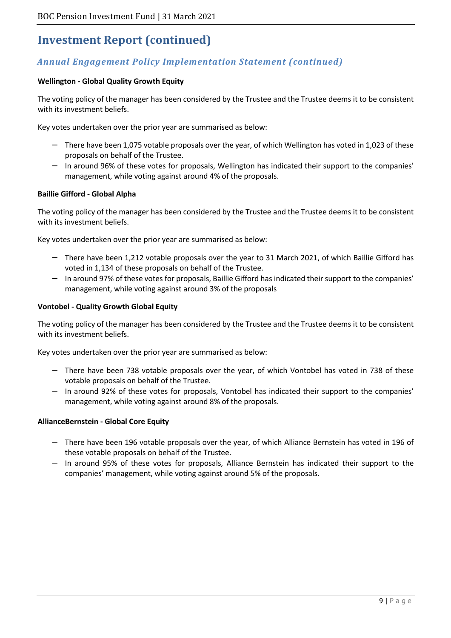### *Annual Engagement Policy Implementation Statement (continued)*

#### **Wellington - Global Quality Growth Equity**

The voting policy of the manager has been considered by the Trustee and the Trustee deems it to be consistent with its investment beliefs.

Key votes undertaken over the prior year are summarised as below:

- − There have been 1,075 votable proposals over the year, of which Wellington has voted in 1,023 of these proposals on behalf of the Trustee.
- − In around 96% of these votes for proposals, Wellington has indicated their support to the companies' management, while voting against around 4% of the proposals.

#### **Baillie Gifford - Global Alpha**

The voting policy of the manager has been considered by the Trustee and the Trustee deems it to be consistent with its investment beliefs.

Key votes undertaken over the prior year are summarised as below:

- − There have been 1,212 votable proposals over the year to 31 March 2021, of which Baillie Gifford has voted in 1,134 of these proposals on behalf of the Trustee.
- − In around 97% of these votes for proposals, Baillie Gifford has indicated their support to the companies' management, while voting against around 3% of the proposals

#### **Vontobel - Quality Growth Global Equity**

The voting policy of the manager has been considered by the Trustee and the Trustee deems it to be consistent with its investment beliefs.

Key votes undertaken over the prior year are summarised as below:

- There have been 738 votable proposals over the year, of which Vontobel has voted in 738 of these votable proposals on behalf of the Trustee.
- In around 92% of these votes for proposals, Vontobel has indicated their support to the companies' management, while voting against around 8% of the proposals.

#### **AllianceBernstein - Global Core Equity**

- − There have been 196 votable proposals over the year, of which Alliance Bernstein has voted in 196 of these votable proposals on behalf of the Trustee.
- − In around 95% of these votes for proposals, Alliance Bernstein has indicated their support to the companies' management, while voting against around 5% of the proposals.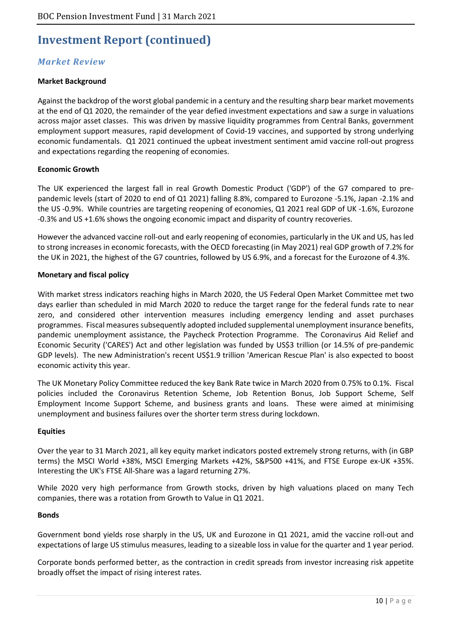### *Market Review*

#### **Market Background**

Against the backdrop of the worst global pandemic in a century and the resulting sharp bear market movements at the end of Q1 2020, the remainder of the year defied investment expectations and saw a surge in valuations across major asset classes. This was driven by massive liquidity programmes from Central Banks, government employment support measures, rapid development of Covid-19 vaccines, and supported by strong underlying economic fundamentals. Q1 2021 continued the upbeat investment sentiment amid vaccine roll-out progress and expectations regarding the reopening of economies.

#### **Economic Growth**

The UK experienced the largest fall in real Growth Domestic Product ('GDP') of the G7 compared to prepandemic levels (start of 2020 to end of Q1 2021) falling 8.8%, compared to Eurozone -5.1%, Japan -2.1% and the US -0.9%. While countries are targeting reopening of economies, Q1 2021 real GDP of UK -1.6%, Eurozone -0.3% and US +1.6% shows the ongoing economic impact and disparity of country recoveries.

However the advanced vaccine roll-out and early reopening of economies, particularly in the UK and US, has led to strong increases in economic forecasts, with the OECD forecasting (in May 2021) real GDP growth of 7.2% for the UK in 2021, the highest of the G7 countries, followed by US 6.9%, and a forecast for the Eurozone of 4.3%.

#### **Monetary and fiscal policy**

With market stress indicators reaching highs in March 2020, the US Federal Open Market Committee met two days earlier than scheduled in mid March 2020 to reduce the target range for the federal funds rate to near zero, and considered other intervention measures including emergency lending and asset purchases programmes. Fiscal measures subsequently adopted included supplemental unemployment insurance benefits, pandemic unemployment assistance, the Paycheck Protection Programme. The Coronavirus Aid Relief and Economic Security ('CARES') Act and other legislation was funded by US\$3 trillion (or 14.5% of pre-pandemic GDP levels). The new Administration's recent US\$1.9 trillion 'American Rescue Plan' is also expected to boost economic activity this year.

The UK Monetary Policy Committee reduced the key Bank Rate twice in March 2020 from 0.75% to 0.1%. Fiscal policies included the Coronavirus Retention Scheme, Job Retention Bonus, Job Support Scheme, Self Employment Income Support Scheme, and business grants and loans. These were aimed at minimising unemployment and business failures over the shorter term stress during lockdown.

#### **Equities**

Over the year to 31 March 2021, all key equity market indicators posted extremely strong returns, with (in GBP terms) the MSCI World +38%, MSCI Emerging Markets +42%, S&P500 +41%, and FTSE Europe ex-UK +35%. Interesting the UK's FTSE All-Share was a lagard returning 27%.

While 2020 very high performance from Growth stocks, driven by high valuations placed on many Tech companies, there was a rotation from Growth to Value in Q1 2021.

#### **Bonds**

Government bond yields rose sharply in the US, UK and Eurozone in Q1 2021, amid the vaccine roll-out and expectations of large US stimulus measures, leading to a sizeable loss in value for the quarter and 1 year period.

Corporate bonds performed better, as the contraction in credit spreads from investor increasing risk appetite broadly offset the impact of rising interest rates.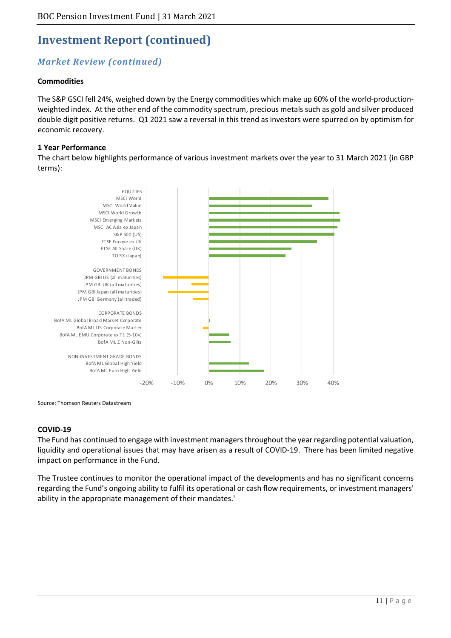### *Market Review (continued)*

#### **Commodities**

The S&P GSCI fell 24%, weighed down by the Energy commodities which make up 60% of the world-productionweighted index. At the other end of the commodity spectrum, precious metals such as gold and silver produced double digit positive returns. Q1 2021 saw a reversal in this trend as investors were spurred on by optimism for economic recovery.

#### **1 Year Performance**

The chart below highlights performance of various investment markets over the year to 31 March 2021 (in GBP terms):



Source: Thomson Reuters Datastream

#### **COVID-19**

The Fund has continued to engage with investment managers throughout the year regarding potential valuation, liquidity and operational issues that may have arisen as a result of COVID-19. There has been limited negative impact on performance in the Fund.

The Trustee continues to monitor the operational impact of the developments and has no significant concerns regarding the Fund's ongoing ability to fulfil its operational or cash flow requirements, or investment managers' ability in the appropriate management of their mandates.'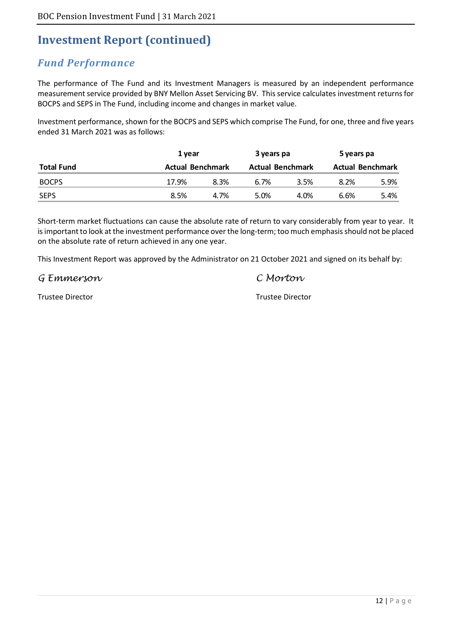# *Fund Performance*

The performance of The Fund and its Investment Managers is measured by an independent performance measurement service provided by BNY Mellon Asset Servicing BV. This service calculates investment returns for BOCPS and SEPS in The Fund, including income and changes in market value.

Investment performance, shown for the BOCPS and SEPS which comprise The Fund, for one, three and five years ended 31 March 2021 was as follows:

|                   | 1 year                  |      | 3 years pa              |      | 5 years pa              |      |
|-------------------|-------------------------|------|-------------------------|------|-------------------------|------|
| <b>Total Fund</b> | <b>Actual Benchmark</b> |      | <b>Actual Benchmark</b> |      | <b>Actual Benchmark</b> |      |
| <b>BOCPS</b>      | 17.9%                   | 8.3% | 6.7%                    | 3.5% | 8.2%                    | 5.9% |
| <b>SEPS</b>       | 8.5%                    | 4.7% | 5.0%                    | 4.0% | 6.6%                    | 5.4% |

Short-term market fluctuations can cause the absolute rate of return to vary considerably from year to year. It is important to look at the investment performance over the long-term; too much emphasis should not be placed on the absolute rate of return achieved in any one year.

This Investment Report was approved by the Administrator on 21 October 2021 and signed on its behalf by:

G Emmerson C Morton

Trustee Director Trustee Director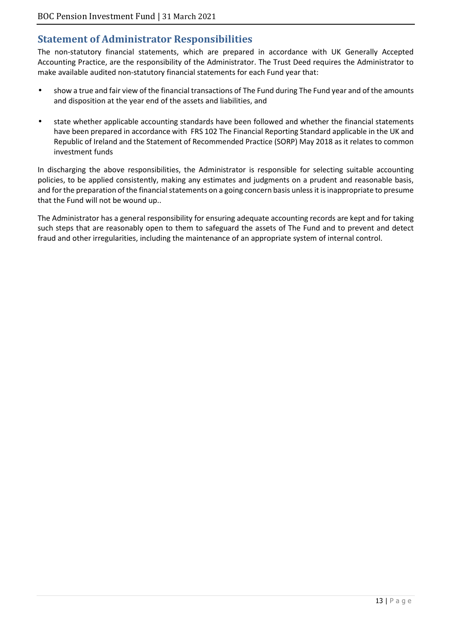# **Statement of Administrator Responsibilities**

The non-statutory financial statements, which are prepared in accordance with UK Generally Accepted Accounting Practice, are the responsibility of the Administrator. The Trust Deed requires the Administrator to make available audited non-statutory financial statements for each Fund year that:

- show a true and fair view of the financial transactions of The Fund during The Fund year and of the amounts and disposition at the year end of the assets and liabilities, and
- state whether applicable accounting standards have been followed and whether the financial statements have been prepared in accordance with FRS 102 The Financial Reporting Standard applicable in the UK and Republic of Ireland and the Statement of Recommended Practice (SORP) May 2018 as it relates to common investment funds

In discharging the above responsibilities, the Administrator is responsible for selecting suitable accounting policies, to be applied consistently, making any estimates and judgments on a prudent and reasonable basis, and for the preparation of the financial statements on a going concern basis unless it is inappropriate to presume that the Fund will not be wound up..

The Administrator has a general responsibility for ensuring adequate accounting records are kept and for taking such steps that are reasonably open to them to safeguard the assets of The Fund and to prevent and detect fraud and other irregularities, including the maintenance of an appropriate system of internal control.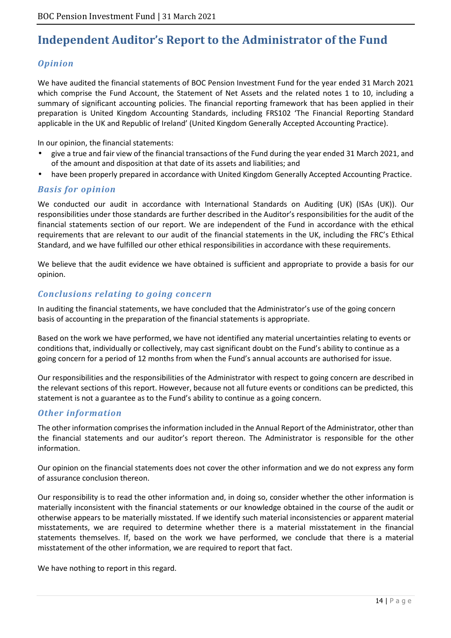# **Independent Auditor's Report to the Administrator of the Fund**

### *Opinion*

We have audited the financial statements of BOC Pension Investment Fund for the year ended 31 March 2021 which comprise the Fund Account, the Statement of Net Assets and the related notes 1 to 10, including a summary of significant accounting policies. The financial reporting framework that has been applied in their preparation is United Kingdom Accounting Standards, including FRS102 'The Financial Reporting Standard applicable in the UK and Republic of Ireland' (United Kingdom Generally Accepted Accounting Practice).

In our opinion, the financial statements:

- give a true and fair view of the financial transactions of the Fund during the year ended 31 March 2021, and of the amount and disposition at that date of its assets and liabilities; and
- have been properly prepared in accordance with United Kingdom Generally Accepted Accounting Practice.

### *Basis for opinion*

We conducted our audit in accordance with International Standards on Auditing (UK) (ISAs (UK)). Our responsibilities under those standards are further described in the Auditor's responsibilities for the audit of the financial statements section of our report. We are independent of the Fund in accordance with the ethical requirements that are relevant to our audit of the financial statements in the UK, including the FRC's Ethical Standard, and we have fulfilled our other ethical responsibilities in accordance with these requirements.

We believe that the audit evidence we have obtained is sufficient and appropriate to provide a basis for our opinion.

### *Conclusions relating to going concern*

In auditing the financial statements, we have concluded that the Administrator's use of the going concern basis of accounting in the preparation of the financial statements is appropriate.

Based on the work we have performed, we have not identified any material uncertainties relating to events or conditions that, individually or collectively, may cast significant doubt on the Fund's ability to continue as a going concern for a period of 12 months from when the Fund's annual accounts are authorised for issue.

Our responsibilities and the responsibilities of the Administrator with respect to going concern are described in the relevant sections of this report. However, because not all future events or conditions can be predicted, this statement is not a guarantee as to the Fund's ability to continue as a going concern.

### *Other information*

The other information comprises the information included in the Annual Report of the Administrator, other than the financial statements and our auditor's report thereon. The Administrator is responsible for the other information.

Our opinion on the financial statements does not cover the other information and we do not express any form of assurance conclusion thereon.

Our responsibility is to read the other information and, in doing so, consider whether the other information is materially inconsistent with the financial statements or our knowledge obtained in the course of the audit or otherwise appears to be materially misstated. If we identify such material inconsistencies or apparent material misstatements, we are required to determine whether there is a material misstatement in the financial statements themselves. If, based on the work we have performed, we conclude that there is a material misstatement of the other information, we are required to report that fact.

We have nothing to report in this regard.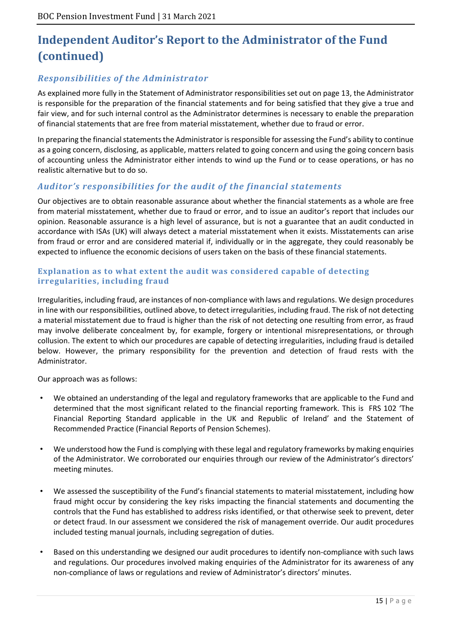# **Independent Auditor's Report to the Administrator of the Fund (continued)**

### *Responsibilities of the Administrator*

As explained more fully in the Statement of Administrator responsibilities set out on page 13, the Administrator is responsible for the preparation of the financial statements and for being satisfied that they give a true and fair view, and for such internal control as the Administrator determines is necessary to enable the preparation of financial statements that are free from material misstatement, whether due to fraud or error.

In preparing the financial statements the Administrator is responsible for assessing the Fund's ability to continue as a going concern, disclosing, as applicable, matters related to going concern and using the going concern basis of accounting unless the Administrator either intends to wind up the Fund or to cease operations, or has no realistic alternative but to do so.

### *Auditor's responsibilities for the audit of the financial statements*

Our objectives are to obtain reasonable assurance about whether the financial statements as a whole are free from material misstatement, whether due to fraud or error, and to issue an auditor's report that includes our opinion. Reasonable assurance is a high level of assurance, but is not a guarantee that an audit conducted in accordance with ISAs (UK) will always detect a material misstatement when it exists. Misstatements can arise from fraud or error and are considered material if, individually or in the aggregate, they could reasonably be expected to influence the economic decisions of users taken on the basis of these financial statements.

#### **Explanation as to what extent the audit was considered capable of detecting irregularities, including fraud**

Irregularities, including fraud, are instances of non-compliance with laws and regulations. We design procedures in line with our responsibilities, outlined above, to detect irregularities, including fraud. The risk of not detecting a material misstatement due to fraud is higher than the risk of not detecting one resulting from error, as fraud may involve deliberate concealment by, for example, forgery or intentional misrepresentations, or through collusion. The extent to which our procedures are capable of detecting irregularities, including fraud is detailed below. However, the primary responsibility for the prevention and detection of fraud rests with the Administrator.

Our approach was as follows:

- We obtained an understanding of the legal and regulatory frameworks that are applicable to the Fund and determined that the most significant related to the financial reporting framework. This is FRS 102 'The Financial Reporting Standard applicable in the UK and Republic of Ireland' and the Statement of Recommended Practice (Financial Reports of Pension Schemes).
- We understood how the Fund is complying with these legal and regulatory frameworks by making enquiries of the Administrator. We corroborated our enquiries through our review of the Administrator's directors' meeting minutes.
- We assessed the susceptibility of the Fund's financial statements to material misstatement, including how fraud might occur by considering the key risks impacting the financial statements and documenting the controls that the Fund has established to address risks identified, or that otherwise seek to prevent, deter or detect fraud. In our assessment we considered the risk of management override. Our audit procedures included testing manual journals, including segregation of duties.
- Based on this understanding we designed our audit procedures to identify non-compliance with such laws and regulations. Our procedures involved making enquiries of the Administrator for its awareness of any non-compliance of laws or regulations and review of Administrator's directors' minutes.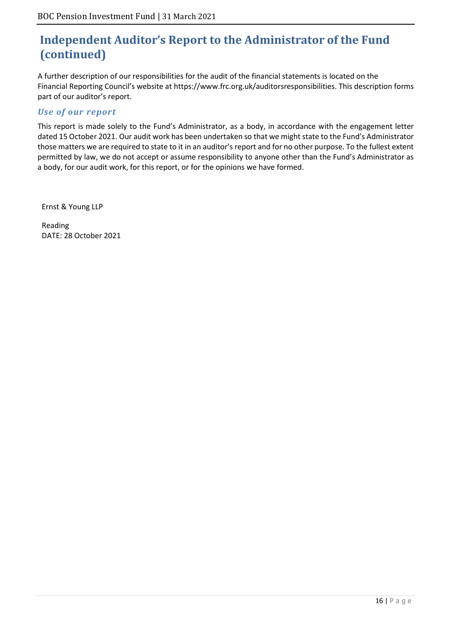# **Independent Auditor's Report to the Administrator of the Fund (continued)**

A further description of our responsibilities for the audit of the financial statements is located on the Financial Reporting Council's website at https://www.frc.org.uk/auditorsresponsibilities. This description forms part of our auditor's report.

### *Use of our report*

This report is made solely to the Fund's Administrator, as a body, in accordance with the engagement letter dated 15 October 2021. Our audit work has been undertaken so that we might state to the Fund's Administrator those matters we are required to state to it in an auditor's report and for no other purpose. To the fullest extent permitted by law, we do not accept or assume responsibility to anyone other than the Fund's Administrator as a body, for our audit work, for this report, or for the opinions we have formed.

Ernst & Young LLP

Reading DATE: 28 October 2021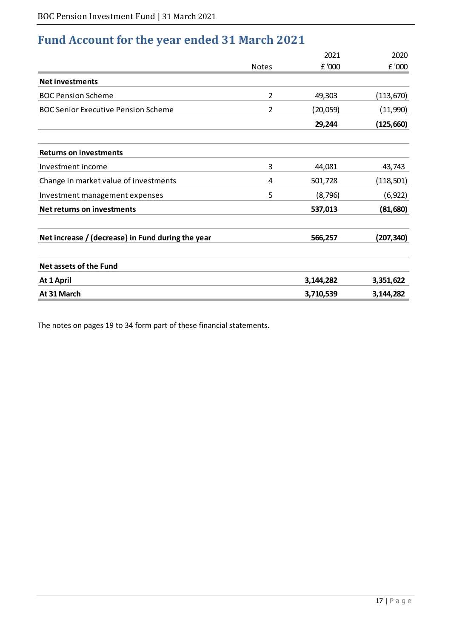# **Fund Account for the year ended 31 March 2021**

|                                                   |                | 2021      | 2020       |
|---------------------------------------------------|----------------|-----------|------------|
|                                                   | <b>Notes</b>   | £ '000    | £ '000     |
| <b>Net investments</b>                            |                |           |            |
| <b>BOC Pension Scheme</b>                         | 2              | 49,303    | (113, 670) |
| <b>BOC Senior Executive Pension Scheme</b>        | $\overline{2}$ | (20,059)  | (11,990)   |
|                                                   |                | 29,244    | (125, 660) |
| <b>Returns on investments</b>                     |                |           |            |
| Investment income                                 | 3              | 44,081    | 43,743     |
| Change in market value of investments             | 4              | 501,728   | (118, 501) |
| Investment management expenses                    | 5              | (8, 796)  | (6, 922)   |
| Net returns on investments                        |                | 537,013   | (81,680)   |
| Net increase / (decrease) in Fund during the year |                | 566,257   | (207, 340) |
| <b>Net assets of the Fund</b>                     |                |           |            |
| At 1 April                                        |                | 3,144,282 | 3,351,622  |
| At 31 March                                       |                | 3,710,539 | 3,144,282  |

The notes on pages 19 to 34 form part of these financial statements.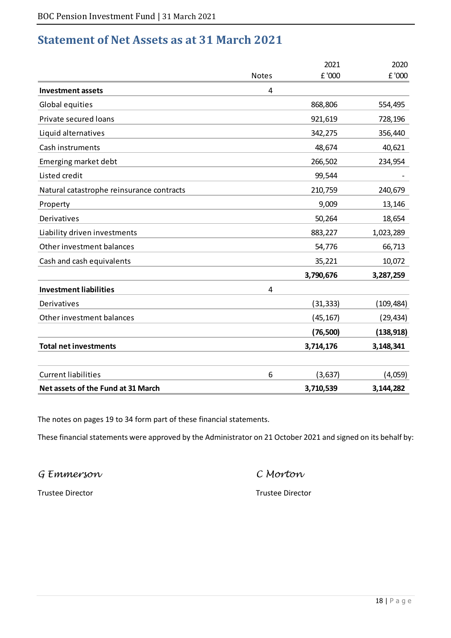# **Statement of Net Assets as at 31 March 2021**

|                                           |                | 2021      | 2020       |
|-------------------------------------------|----------------|-----------|------------|
|                                           | <b>Notes</b>   | £ '000    | £ '000     |
| <b>Investment assets</b>                  | $\overline{4}$ |           |            |
| Global equities                           |                | 868,806   | 554,495    |
| Private secured loans                     |                | 921,619   | 728,196    |
| Liquid alternatives                       |                | 342,275   | 356,440    |
| Cash instruments                          |                | 48,674    | 40,621     |
| Emerging market debt                      |                | 266,502   | 234,954    |
| Listed credit                             |                | 99,544    |            |
| Natural catastrophe reinsurance contracts |                | 210,759   | 240,679    |
| Property                                  |                | 9,009     | 13,146     |
| Derivatives                               |                | 50,264    | 18,654     |
| Liability driven investments              |                | 883,227   | 1,023,289  |
| Other investment balances                 |                | 54,776    | 66,713     |
| Cash and cash equivalents                 |                | 35,221    | 10,072     |
|                                           |                | 3,790,676 | 3,287,259  |
| <b>Investment liabilities</b>             | $\overline{4}$ |           |            |
| Derivatives                               |                | (31, 333) | (109, 484) |
| Other investment balances                 |                | (45, 167) | (29, 434)  |
|                                           |                | (76, 500) | (138, 918) |
| <b>Total net investments</b>              |                | 3,714,176 | 3,148,341  |
| <b>Current liabilities</b>                | 6              | (3,637)   | (4,059)    |
| Net assets of the Fund at 31 March        |                | 3,710,539 | 3,144,282  |

The notes on pages 19 to 34 form part of these financial statements.

These financial statements were approved by the Administrator on 21 October 2021 and signed on its behalf by:

G Emmerson C Morton

Trustee Director Trustee Director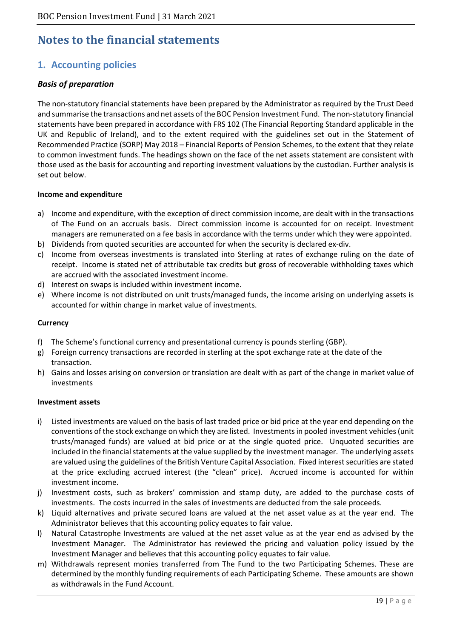# **Notes to the financial statements**

# **1. Accounting policies**

### *Basis of preparation*

The non-statutory financial statements have been prepared by the Administrator as required by the Trust Deed and summarise the transactions and net assets of the BOC Pension Investment Fund. The non-statutory financial statements have been prepared in accordance with FRS 102 (The Financial Reporting Standard applicable in the UK and Republic of Ireland), and to the extent required with the guidelines set out in the Statement of Recommended Practice (SORP) May 2018 – Financial Reports of Pension Schemes, to the extent that they relate to common investment funds. The headings shown on the face of the net assets statement are consistent with those used as the basis for accounting and reporting investment valuations by the custodian. Further analysis is set out below.

#### **Income and expenditure**

- a) Income and expenditure, with the exception of direct commission income, are dealt with in the transactions of The Fund on an accruals basis. Direct commission income is accounted for on receipt. Investment managers are remunerated on a fee basis in accordance with the terms under which they were appointed.
- b) Dividends from quoted securities are accounted for when the security is declared ex-div.
- c) Income from overseas investments is translated into Sterling at rates of exchange ruling on the date of receipt. Income is stated net of attributable tax credits but gross of recoverable withholding taxes which are accrued with the associated investment income.
- d) Interest on swaps is included within investment income.
- e) Where income is not distributed on unit trusts/managed funds, the income arising on underlying assets is accounted for within change in market value of investments.

#### **Currency**

- f) The Scheme's functional currency and presentational currency is pounds sterling (GBP).
- g) Foreign currency transactions are recorded in sterling at the spot exchange rate at the date of the transaction.
- h) Gains and losses arising on conversion or translation are dealt with as part of the change in market value of investments

#### **Investment assets**

- i) Listed investments are valued on the basis of last traded price or bid price at the year end depending on the conventions of the stock exchange on which they are listed. Investments in pooled investment vehicles (unit trusts/managed funds) are valued at bid price or at the single quoted price. Unquoted securities are included in the financial statements at the value supplied by the investment manager. The underlying assets are valued using the guidelines of the British Venture Capital Association. Fixed interest securities are stated at the price excluding accrued interest (the "clean" price). Accrued income is accounted for within investment income.
- j) Investment costs, such as brokers' commission and stamp duty, are added to the purchase costs of investments. The costs incurred in the sales of investments are deducted from the sale proceeds.
- k) Liquid alternatives and private secured loans are valued at the net asset value as at the year end. The Administrator believes that this accounting policy equates to fair value.
- l) Natural Catastrophe Investments are valued at the net asset value as at the year end as advised by the Investment Manager. The Administrator has reviewed the pricing and valuation policy issued by the Investment Manager and believes that this accounting policy equates to fair value.
- m) Withdrawals represent monies transferred from The Fund to the two Participating Schemes. These are determined by the monthly funding requirements of each Participating Scheme. These amounts are shown as withdrawals in the Fund Account.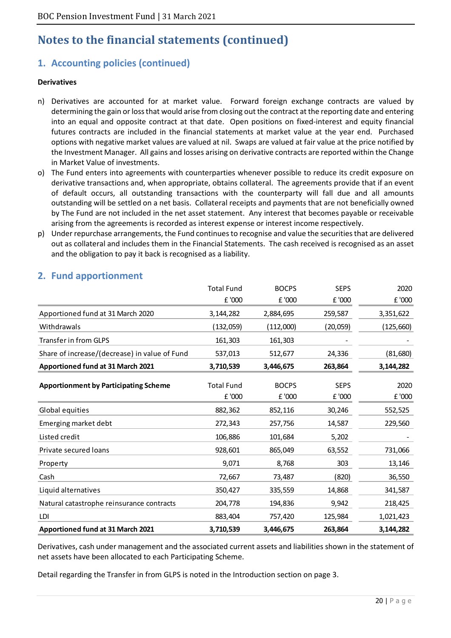# **1. Accounting policies (continued)**

#### **Derivatives**

- n) Derivatives are accounted for at market value. Forward foreign exchange contracts are valued by determining the gain or loss that would arise from closing out the contract at the reporting date and entering into an equal and opposite contract at that date. Open positions on fixed-interest and equity financial futures contracts are included in the financial statements at market value at the year end. Purchased options with negative market values are valued at nil. Swaps are valued at fair value at the price notified by the Investment Manager. All gains and losses arising on derivative contracts are reported within the Change in Market Value of investments.
- o) The Fund enters into agreements with counterparties whenever possible to reduce its credit exposure on derivative transactions and, when appropriate, obtains collateral. The agreements provide that if an event of default occurs, all outstanding transactions with the counterparty will fall due and all amounts outstanding will be settled on a net basis. Collateral receipts and payments that are not beneficially owned by The Fund are not included in the net asset statement. Any interest that becomes payable or receivable arising from the agreements is recorded as interest expense or interest income respectively.
- p) Under repurchase arrangements, the Fund continues to recognise and value the securities that are delivered out as collateral and includes them in the Financial Statements. The cash received is recognised as an asset and the obligation to pay it back is recognised as a liability.

|                                               | <b>Total Fund</b>           | <b>BOCPS</b>           | <b>SEPS</b>           | 2020           |
|-----------------------------------------------|-----------------------------|------------------------|-----------------------|----------------|
|                                               | £ '000                      | £ '000                 | £ '000                | £ '000         |
| Apportioned fund at 31 March 2020             | 3,144,282                   | 2,884,695              | 259,587               | 3,351,622      |
| Withdrawals                                   | (132, 059)                  | (112,000)              | (20, 059)             | (125, 660)     |
| Transfer in from GLPS                         | 161,303                     | 161,303                |                       |                |
| Share of increase/(decrease) in value of Fund | 537,013                     | 512,677                | 24,336                | (81,680)       |
| Apportioned fund at 31 March 2021             | 3,710,539                   | 3,446,675              | 263,864               | 3,144,282      |
| <b>Apportionment by Participating Scheme</b>  | <b>Total Fund</b><br>£ '000 | <b>BOCPS</b><br>£ '000 | <b>SEPS</b><br>£ '000 | 2020<br>£ '000 |
| Global equities                               | 882,362                     | 852,116                | 30,246                | 552,525        |
| Emerging market debt                          | 272,343                     | 257,756                | 14,587                | 229,560        |
| Listed credit                                 | 106,886                     | 101,684                | 5,202                 |                |
| Private secured loans                         | 928,601                     | 865,049                | 63,552                | 731,066        |
| Property                                      | 9,071                       | 8,768                  | 303                   | 13,146         |
| Cash                                          | 72,667                      | 73,487                 | (820)                 | 36,550         |
| Liquid alternatives                           | 350,427                     | 335,559                | 14,868                | 341,587        |
| Natural catastrophe reinsurance contracts     | 204,778                     | 194,836                | 9,942                 | 218,425        |
| LDI                                           | 883,404                     | 757,420                | 125,984               | 1,021,423      |
| <b>Apportioned fund at 31 March 2021</b>      | 3,710,539                   | 3,446,675              | 263,864               | 3,144,282      |

### **2. Fund apportionment**

Derivatives, cash under management and the associated current assets and liabilities shown in the statement of net assets have been allocated to each Participating Scheme.

Detail regarding the Transfer in from GLPS is noted in the Introduction section on page 3.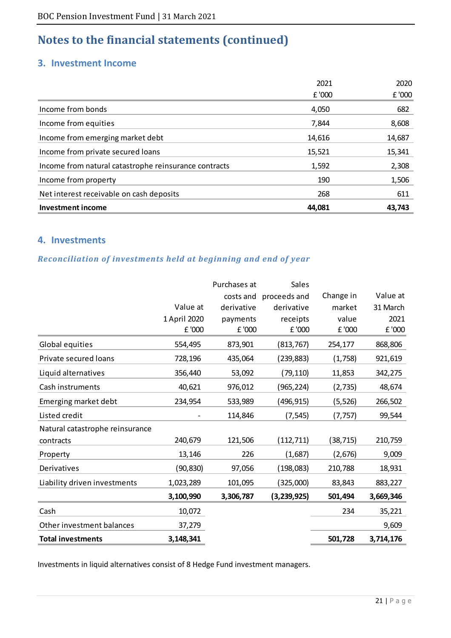### **3. Investment Income**

| <b>Investment income</b>                              | 44,081 | 43,743 |
|-------------------------------------------------------|--------|--------|
| Net interest receivable on cash deposits              | 268    | 611    |
| Income from property                                  | 190    | 1,506  |
| Income from natural catastrophe reinsurance contracts | 1,592  | 2,308  |
| Income from private secured loans                     | 15,521 | 15,341 |
| Income from emerging market debt                      | 14,616 | 14,687 |
| Income from equities                                  | 7,844  | 8,608  |
| Income from bonds                                     | 4,050  | 682    |
|                                                       | £ '000 | £ '000 |
|                                                       | 2021   | 2020   |

### **4. Investments**

### *Reconciliation of investments held at beginning and end of year*

|                                 |              | Purchases at | <b>Sales</b>           |           |           |
|---------------------------------|--------------|--------------|------------------------|-----------|-----------|
|                                 |              |              | costs and proceeds and | Change in | Value at  |
|                                 | Value at     | derivative   | derivative             | market    | 31 March  |
|                                 | 1 April 2020 | payments     | receipts               | value     | 2021      |
|                                 | £ '000       | £ '000       | £ '000                 | £ '000    | £ '000    |
| Global equities                 | 554,495      | 873,901      | (813, 767)             | 254,177   | 868,806   |
| Private secured loans           | 728,196      | 435,064      | (239,883)              | (1,758)   | 921,619   |
| Liquid alternatives             | 356,440      | 53,092       | (79, 110)              | 11,853    | 342,275   |
| Cash instruments                | 40,621       | 976,012      | (965, 224)             | (2, 735)  | 48,674    |
| Emerging market debt            | 234,954      | 533,989      | (496, 915)             | (5, 526)  | 266,502   |
| Listed credit                   |              | 114,846      | (7, 545)               | (7, 757)  | 99,544    |
| Natural catastrophe reinsurance |              |              |                        |           |           |
| contracts                       | 240,679      | 121,506      | (112, 711)             | (38, 715) | 210,759   |
| Property                        | 13,146       | 226          | (1,687)                | (2,676)   | 9,009     |
| Derivatives                     | (90, 830)    | 97,056       | (198, 083)             | 210,788   | 18,931    |
| Liability driven investments    | 1,023,289    | 101,095      | (325,000)              | 83,843    | 883,227   |
|                                 | 3,100,990    | 3,306,787    | (3,239,925)            | 501,494   | 3,669,346 |
| Cash                            | 10,072       |              |                        | 234       | 35,221    |
| Other investment balances       | 37,279       |              |                        |           | 9,609     |
| <b>Total investments</b>        | 3,148,341    |              |                        | 501,728   | 3,714,176 |

Investments in liquid alternatives consist of 8 Hedge Fund investment managers.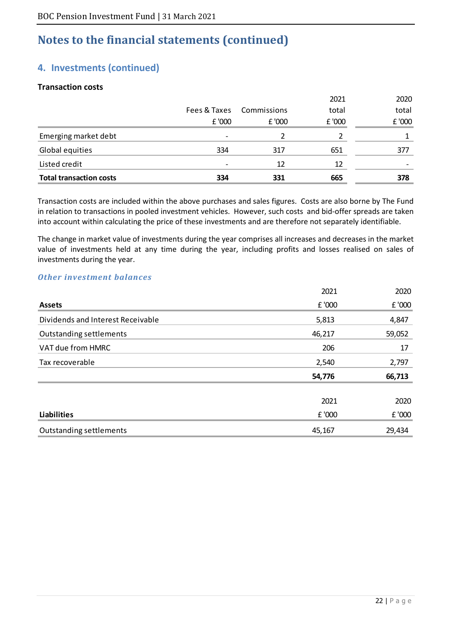### **4. Investments (continued)**

#### **Transaction costs**

| <b>Total transaction costs</b> | 334          | 331         | 665    | 378    |
|--------------------------------|--------------|-------------|--------|--------|
| Listed credit                  |              | 12          | 12     |        |
| Global equities                | 334          | 317         | 651    | 377    |
| Emerging market debt           |              |             |        |        |
|                                | E'000        | £ '000      | £ '000 | £ '000 |
|                                | Fees & Taxes | Commissions | total  | total  |
|                                |              |             | 2021   | 2020   |

Transaction costs are included within the above purchases and sales figures. Costs are also borne by The Fund in relation to transactions in pooled investment vehicles. However, such costs and bid-offer spreads are taken into account within calculating the price of these investments and are therefore not separately identifiable.

The change in market value of investments during the year comprises all increases and decreases in the market value of investments held at any time during the year, including profits and losses realised on sales of investments during the year.

#### *Other investment balances*

|                                   | 2021   | 2020   |
|-----------------------------------|--------|--------|
| <b>Assets</b>                     | £ '000 | £ '000 |
| Dividends and Interest Receivable | 5,813  | 4,847  |
| <b>Outstanding settlements</b>    | 46,217 | 59,052 |
| VAT due from HMRC                 | 206    | 17     |
| Tax recoverable                   | 2,540  | 2,797  |
|                                   | 54,776 | 66,713 |
|                                   | 2021   | 2020   |
| <b>Liabilities</b>                | £ '000 | £ '000 |
| <b>Outstanding settlements</b>    | 45,167 | 29,434 |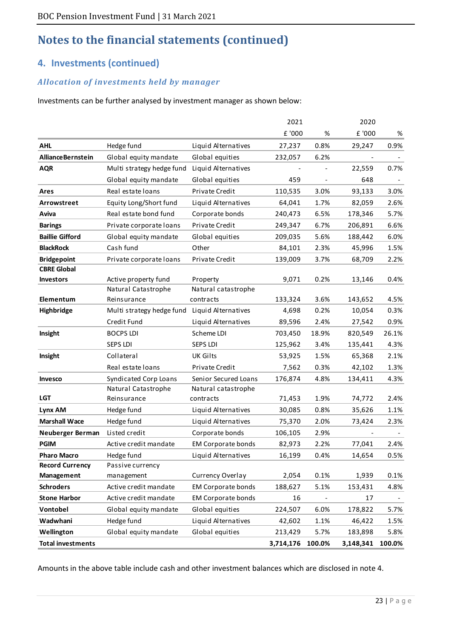### **4. Investments (continued)**

### *Allocation of investments held by manager*

Investments can be further analysed by investment manager as shown below:

|                          |                           |                           | 2021      |        | 2020      |        |
|--------------------------|---------------------------|---------------------------|-----------|--------|-----------|--------|
|                          |                           |                           | £ '000    | %      | £ '000    | %      |
| <b>AHL</b>               | Hedge fund                | Liquid Alternatives       | 27,237    | 0.8%   | 29,247    | 0.9%   |
| <b>AllianceBernstein</b> | Global equity mandate     | Global equities           | 232,057   | 6.2%   |           |        |
| <b>AQR</b>               | Multi strategy hedge fund | Liquid Alternatives       |           |        | 22,559    | 0.7%   |
|                          | Global equity mandate     | Global equities           | 459       |        | 648       |        |
| Ares                     | Real estate loans         | Private Credit            | 110,535   | 3.0%   | 93,133    | 3.0%   |
| Arrowstreet              | Equity Long/Short fund    | Liquid Alternatives       | 64,041    | 1.7%   | 82,059    | 2.6%   |
| Aviva                    | Real estate bond fund     | Corporate bonds           | 240,473   | 6.5%   | 178,346   | 5.7%   |
| <b>Barings</b>           | Private corporate loans   | Private Credit            | 249,347   | 6.7%   | 206,891   | 6.6%   |
| <b>Baillie Gifford</b>   | Global equity mandate     | Global equities           | 209,035   | 5.6%   | 188,442   | 6.0%   |
| <b>BlackRock</b>         | Cash fund                 | Other                     | 84,101    | 2.3%   | 45,996    | 1.5%   |
| <b>Bridgepoint</b>       | Private corporate loans   | Private Credit            | 139,009   | 3.7%   | 68,709    | 2.2%   |
| <b>CBRE Global</b>       |                           |                           |           |        |           |        |
| <b>Investors</b>         | Active property fund      | Property                  | 9,071     | 0.2%   | 13,146    | 0.4%   |
|                          | Natural Catastrophe       | Natural catastrophe       |           |        |           |        |
| Elementum                | Reinsurance               | contracts                 | 133,324   | 3.6%   | 143,652   | 4.5%   |
| Highbridge               | Multi strategy hedge fund | Liquid Alternatives       | 4,698     | 0.2%   | 10,054    | 0.3%   |
|                          | Credit Fund               | Liquid Alternatives       | 89,596    | 2.4%   | 27,542    | 0.9%   |
| Insight                  | <b>BOCPS LDI</b>          | Scheme LDI                | 703,450   | 18.9%  | 820,549   | 26.1%  |
|                          | SEPS LDI                  | SEPS LDI                  | 125,962   | 3.4%   | 135,441   | 4.3%   |
| Insight                  | Collateral                | <b>UK Gilts</b>           | 53,925    | 1.5%   | 65,368    | 2.1%   |
|                          | Real estate loans         | Private Credit            | 7,562     | 0.3%   | 42,102    | 1.3%   |
| Invesco                  | Syndicated Corp Loans     | Senior Secured Loans      | 176,874   | 4.8%   | 134,411   | 4.3%   |
|                          | Natural Catastrophe       | Natural catastrophe       |           |        |           |        |
| <b>LGT</b>               | Reinsurance               | contracts                 | 71,453    | 1.9%   | 74,772    | 2.4%   |
| Lynx AM                  | Hedge fund                | Liquid Alternatives       | 30,085    | 0.8%   | 35,626    | 1.1%   |
| <b>Marshall Wace</b>     | Hedge fund                | Liquid Alternatives       | 75,370    | 2.0%   | 73,424    | 2.3%   |
| <b>Neuberger Berman</b>  | Listed credit             | Corporate bonds           | 106,105   | 2.9%   |           |        |
| <b>PGIM</b>              | Active credit mandate     | <b>EM Corporate bonds</b> | 82,973    | 2.2%   | 77,041    | 2.4%   |
| <b>Pharo Macro</b>       | Hedge fund                | Liquid Alternatives       | 16,199    | 0.4%   | 14,654    | 0.5%   |
| <b>Record Currency</b>   | Passive currency          |                           |           |        |           |        |
| Management               | management                | Currency Overlay          | 2,054     | 0.1%   | 1,939     | 0.1%   |
| <b>Schroders</b>         | Active credit mandate     | <b>EM Corporate bonds</b> | 188,627   | 5.1%   | 153,431   | 4.8%   |
| <b>Stone Harbor</b>      | Active credit mandate     | <b>EM Corporate bonds</b> | 16        |        | 17        |        |
| Vontobel                 | Global equity mandate     | Global equities           | 224,507   | 6.0%   | 178,822   | 5.7%   |
| Wadwhani                 | Hedge fund                | Liquid Alternatives       | 42,602    | 1.1%   | 46,422    | 1.5%   |
| Wellington               | Global equity mandate     | Global equities           | 213,429   | 5.7%   | 183,898   | 5.8%   |
| <b>Total investments</b> |                           |                           | 3,714,176 | 100.0% | 3,148,341 | 100.0% |

Amounts in the above table include cash and other investment balances which are disclosed in note 4.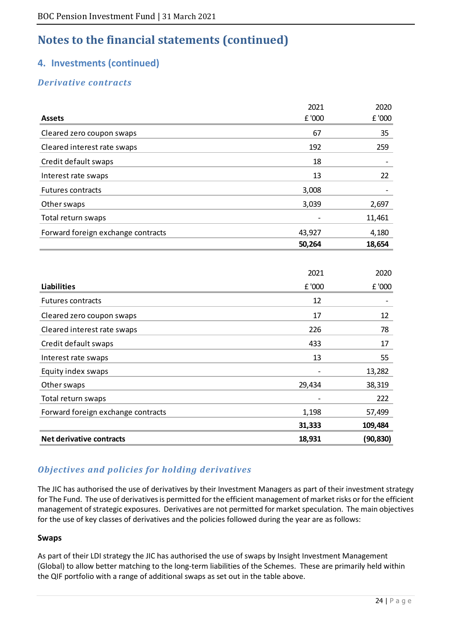## **4. Investments (continued)**

### *Derivative contracts*

|                                    | 2021   | 2020      |
|------------------------------------|--------|-----------|
| <b>Assets</b>                      | £ '000 | £ '000    |
| Cleared zero coupon swaps          | 67     | 35        |
| Cleared interest rate swaps        | 192    | 259       |
| Credit default swaps               | 18     |           |
| Interest rate swaps                | 13     | 22        |
| <b>Futures contracts</b>           | 3,008  |           |
| Other swaps                        | 3,039  | 2,697     |
| Total return swaps                 |        | 11,461    |
| Forward foreign exchange contracts | 43,927 | 4,180     |
|                                    | 50,264 | 18,654    |
|                                    |        |           |
|                                    | 2021   | 2020      |
| <b>Liabilities</b>                 | £ '000 | £ '000    |
| <b>Futures contracts</b>           | 12     |           |
| Cleared zero coupon swaps          | 17     | 12        |
| Cleared interest rate swaps        | 226    | 78        |
| Credit default swaps               | 433    | 17        |
| Interest rate swaps                | 13     | 55        |
| Equity index swaps                 |        | 13,282    |
| Other swaps                        | 29,434 | 38,319    |
| Total return swaps                 |        | 222       |
| Forward foreign exchange contracts | 1,198  | 57,499    |
|                                    | 31,333 | 109,484   |
| <b>Net derivative contracts</b>    | 18,931 | (90, 830) |

### *Objectives and policies for holding derivatives*

The JIC has authorised the use of derivatives by their Investment Managers as part of their investment strategy for The Fund. The use of derivatives is permitted for the efficient management of market risks or for the efficient management of strategic exposures. Derivatives are not permitted for market speculation. The main objectives for the use of key classes of derivatives and the policies followed during the year are as follows:

#### **Swaps**

As part of their LDI strategy the JIC has authorised the use of swaps by Insight Investment Management (Global) to allow better matching to the long-term liabilities of the Schemes. These are primarily held within the QIF portfolio with a range of additional swaps as set out in the table above.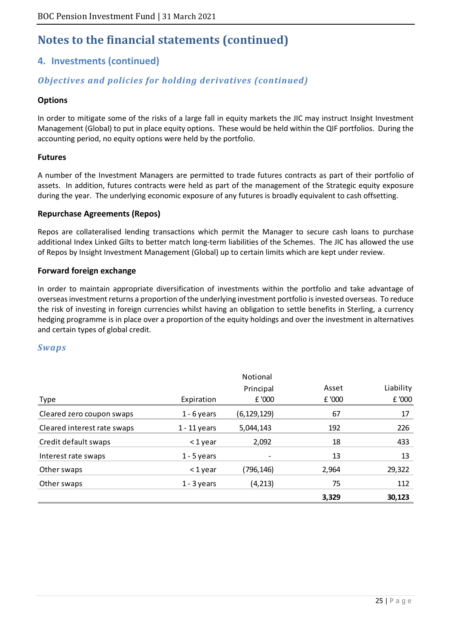# **4. Investments (continued)**

### *Objectives and policies for holding derivatives (continued)*

#### **Options**

In order to mitigate some of the risks of a large fall in equity markets the JIC may instruct Insight Investment Management (Global) to put in place equity options. These would be held within the QIF portfolios. During the accounting period, no equity options were held by the portfolio.

#### **Futures**

A number of the Investment Managers are permitted to trade futures contracts as part of their portfolio of assets. In addition, futures contracts were held as part of the management of the Strategic equity exposure during the year. The underlying economic exposure of any futures is broadly equivalent to cash offsetting.

#### **Repurchase Agreements (Repos)**

Repos are collateralised lending transactions which permit the Manager to secure cash loans to purchase additional Index Linked Gilts to better match long-term liabilities of the Schemes. The JIC has allowed the use of Repos by Insight Investment Management (Global) up to certain limits which are kept under review.

#### **Forward foreign exchange**

In order to maintain appropriate diversification of investments within the portfolio and take advantage of overseas investment returns a proportion of the underlying investment portfolio is invested overseas. To reduce the risk of investing in foreign currencies whilst having an obligation to settle benefits in Sterling, a currency hedging programme is in place over a proportion of the equity holdings and over the investment in alternatives and certain types of global credit.

#### *Swaps*

|                             |                | Notional      |       |           |
|-----------------------------|----------------|---------------|-------|-----------|
|                             |                | Principal     | Asset | Liability |
| Type                        | Expiration     | £ '000        | £'000 | £ '000    |
| Cleared zero coupon swaps   | $1 - 6$ years  | (6, 129, 129) | 67    | 17        |
| Cleared interest rate swaps | $1 - 11$ years | 5,044,143     | 192   | 226       |
| Credit default swaps        | $<$ 1 year     | 2,092         | 18    | 433       |
| Interest rate swaps         | $1 - 5$ years  |               | 13    | 13        |
| Other swaps                 | $<$ 1 year     | (796,146)     | 2,964 | 29,322    |
| Other swaps                 | $1 - 3$ years  | (4, 213)      | 75    | 112       |
|                             |                |               | 3,329 | 30,123    |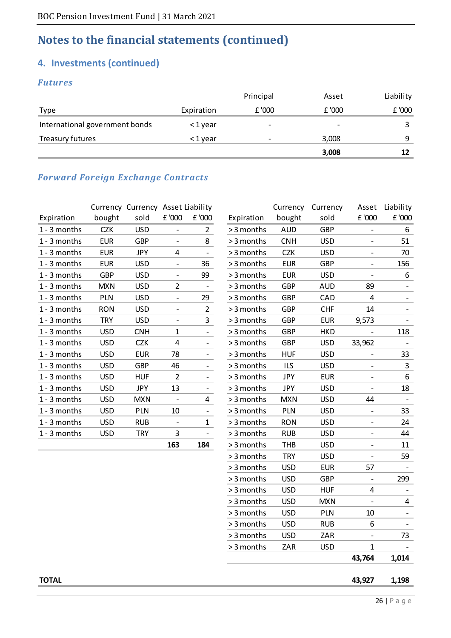### **4. Investments (continued)**

### *Futures*

|                                |            | Principal                | Asset                    | Liability |
|--------------------------------|------------|--------------------------|--------------------------|-----------|
| Type                           | Expiration | £ '000                   | f'000                    | £ '000    |
| International government bonds | <1 year    | $\overline{\phantom{0}}$ | $\overline{\phantom{0}}$ |           |
| Treasury futures               | <1 year    |                          | 3,008                    | Q         |
|                                |            |                          | 3,008                    |           |

### *Forward Foreign Exchange Contracts*

|                |            | Currency Currency Asset Liability |                          |                          |            | Currency   | Currency   | Asset                    | Liability |
|----------------|------------|-----------------------------------|--------------------------|--------------------------|------------|------------|------------|--------------------------|-----------|
| Expiration     | bought     | sold                              | £ '000                   | £ '000                   | Expiration | bought     | sold       | £ '000                   | £ '000    |
| 1 - 3 months   | <b>CZK</b> | <b>USD</b>                        | $\overline{\phantom{a}}$ | 2                        | > 3 months | <b>AUD</b> | <b>GBP</b> | $\overline{\phantom{0}}$ | 6         |
| 1 - 3 months   | <b>EUR</b> | <b>GBP</b>                        | $\overline{\phantom{a}}$ | 8                        | > 3 months | <b>CNH</b> | <b>USD</b> |                          | 51        |
| 1 - 3 months   | <b>EUR</b> | JPY                               | 4                        | $\overline{\phantom{a}}$ | > 3 months | <b>CZK</b> | <b>USD</b> | $\overline{\phantom{0}}$ | 70        |
| 1 - 3 months   | <b>EUR</b> | <b>USD</b>                        | $\overline{\phantom{a}}$ | 36                       | > 3 months | <b>EUR</b> | <b>GBP</b> | $\overline{\phantom{0}}$ | 156       |
| 1 - 3 months   | <b>GBP</b> | <b>USD</b>                        | $\overline{\phantom{a}}$ | 99                       | > 3 months | <b>EUR</b> | <b>USD</b> |                          | 6         |
| 1 - 3 months   | <b>MXN</b> | <b>USD</b>                        | $\overline{2}$           | $\overline{\phantom{a}}$ | > 3 months | <b>GBP</b> | <b>AUD</b> | 89                       |           |
| 1 - 3 months   | <b>PLN</b> | <b>USD</b>                        | $\overline{\phantom{a}}$ | 29                       | > 3 months | <b>GBP</b> | CAD        | 4                        |           |
| 1 - 3 months   | <b>RON</b> | <b>USD</b>                        | $\overline{\phantom{a}}$ | $\overline{2}$           | > 3 months | <b>GBP</b> | <b>CHF</b> | 14                       |           |
| 1 - 3 months   | <b>TRY</b> | <b>USD</b>                        | $\overline{\phantom{a}}$ | 3                        | > 3 months | <b>GBP</b> | <b>EUR</b> | 9,573                    |           |
| 1 - 3 months   | <b>USD</b> | <b>CNH</b>                        | 1                        | $\overline{\phantom{a}}$ | > 3 months | <b>GBP</b> | <b>HKD</b> |                          | 118       |
| 1 - 3 months   | <b>USD</b> | <b>CZK</b>                        | 4                        | $\overline{\phantom{0}}$ | > 3 months | <b>GBP</b> | <b>USD</b> | 33,962                   |           |
| 1 - 3 months   | <b>USD</b> | <b>EUR</b>                        | 78                       | $\overline{\phantom{a}}$ | > 3 months | <b>HUF</b> | <b>USD</b> |                          | 33        |
| 1 - 3 months   | <b>USD</b> | <b>GBP</b>                        | 46                       | $\overline{\phantom{a}}$ | > 3 months | <b>ILS</b> | <b>USD</b> | $\overline{\phantom{0}}$ | 3         |
| 1 - 3 months   | <b>USD</b> | <b>HUF</b>                        | $\overline{2}$           | $\overline{\phantom{a}}$ | > 3 months | JPY        | <b>EUR</b> | $\overline{\phantom{a}}$ | 6         |
| $1 - 3$ months | <b>USD</b> | <b>JPY</b>                        | 13                       | $\overline{\phantom{a}}$ | > 3 months | <b>JPY</b> | <b>USD</b> |                          | 18        |
| 1 - 3 months   | <b>USD</b> | <b>MXN</b>                        | $\overline{\phantom{a}}$ | 4                        | > 3 months | <b>MXN</b> | <b>USD</b> | 44                       |           |
| 1 - 3 months   | <b>USD</b> | PLN                               | 10                       | $\overline{\phantom{a}}$ | > 3 months | PLN        | <b>USD</b> | $\overline{\phantom{0}}$ | 33        |
| 1 - 3 months   | <b>USD</b> | <b>RUB</b>                        | $\overline{\phantom{a}}$ | $\mathbf{1}$             | > 3 months | <b>RON</b> | <b>USD</b> | $\overline{\phantom{a}}$ | 24        |
| 1 - 3 months   | <b>USD</b> | <b>TRY</b>                        | 3                        | $\overline{\phantom{a}}$ | > 3 months | <b>RUB</b> | <b>USD</b> | $\overline{\phantom{0}}$ | 44        |
|                |            |                                   | 163                      | 184                      | > 3 months | <b>THB</b> | <b>USD</b> |                          | 11        |

|            | Currency Currency Asset Liability |                          |                          |            | Currency   | Currency   | Asset                        | Liability                    |
|------------|-----------------------------------|--------------------------|--------------------------|------------|------------|------------|------------------------------|------------------------------|
| bought     | sold                              | $\pm$ '000               | £ '000                   | Expiration | bought     | sold       | £ '000                       | $\pm$ '000                   |
| <b>CZK</b> | <b>USD</b>                        | $\overline{\phantom{0}}$ | $\overline{2}$           | > 3 months | <b>AUD</b> | <b>GBP</b> | $\qquad \qquad -$            | 6                            |
| <b>EUR</b> | <b>GBP</b>                        | $\overline{\phantom{0}}$ | 8                        | > 3 months | <b>CNH</b> | <b>USD</b> | $\overline{\phantom{0}}$     | 51                           |
| <b>EUR</b> | <b>JPY</b>                        | 4                        |                          | > 3 months | <b>CZK</b> | <b>USD</b> |                              | 70                           |
| <b>EUR</b> | <b>USD</b>                        | -                        | 36                       | > 3 months | <b>EUR</b> | <b>GBP</b> |                              | 156                          |
| <b>GBP</b> | <b>USD</b>                        | ÷,                       | 99                       | > 3 months | <b>EUR</b> | <b>USD</b> | $\blacksquare$               | 6                            |
| <b>MXN</b> | <b>USD</b>                        | $\overline{2}$           |                          | > 3 months | <b>GBP</b> | <b>AUD</b> | 89                           |                              |
| PLN        | <b>USD</b>                        | $\overline{\phantom{0}}$ | 29                       | > 3 months | <b>GBP</b> | CAD        | $\overline{\mathbf{4}}$      |                              |
| <b>RON</b> | <b>USD</b>                        | $\overline{\phantom{0}}$ | $\overline{2}$           | > 3 months | <b>GBP</b> | <b>CHF</b> | 14                           |                              |
| <b>TRY</b> | <b>USD</b>                        |                          | 3                        | > 3 months | <b>GBP</b> | <b>EUR</b> | 9,573                        |                              |
| <b>USD</b> | <b>CNH</b>                        | $\mathbf{1}$             | $\overline{\phantom{a}}$ | > 3 months | <b>GBP</b> | <b>HKD</b> |                              | 118                          |
| <b>USD</b> | <b>CZK</b>                        | 4                        |                          | > 3 months | <b>GBP</b> | <b>USD</b> | 33,962                       | $\overline{\phantom{a}}$     |
| <b>USD</b> | <b>EUR</b>                        | 78                       |                          | > 3 months | <b>HUF</b> | <b>USD</b> |                              | 33                           |
| <b>USD</b> | <b>GBP</b>                        | 46                       | $\overline{\phantom{a}}$ | > 3 months | <b>ILS</b> | <b>USD</b> | $\qquad \qquad \blacksquare$ | 3                            |
| <b>USD</b> | <b>HUF</b>                        | $\overline{2}$           | $\overline{\phantom{0}}$ | > 3 months | <b>JPY</b> | <b>EUR</b> | $\blacksquare$               | 6                            |
| <b>USD</b> | <b>JPY</b>                        | 13                       |                          | > 3 months | <b>JPY</b> | <b>USD</b> |                              | 18                           |
| <b>USD</b> | <b>MXN</b>                        | -                        | 4                        | > 3 months | <b>MXN</b> | <b>USD</b> | 44                           | $\qquad \qquad \blacksquare$ |
| <b>USD</b> | PLN                               | 10                       | $\overline{\phantom{a}}$ | > 3 months | PLN        | <b>USD</b> | $\qquad \qquad -$            | 33                           |
| <b>USD</b> | <b>RUB</b>                        | $\overline{a}$           | $\mathbf{1}$             | > 3 months | <b>RON</b> | <b>USD</b> | $\overline{a}$               | 24                           |
| <b>USD</b> | <b>TRY</b>                        | 3                        |                          | > 3 months | <b>RUB</b> | <b>USD</b> | -                            | 44                           |
|            |                                   | 163                      | 184                      | > 3 months | <b>THB</b> | <b>USD</b> | $\qquad \qquad -$            | 11                           |
|            |                                   |                          |                          | > 3 months | <b>TRY</b> | <b>USD</b> | $\frac{1}{2}$                | 59                           |
|            |                                   |                          |                          | > 3 months | <b>USD</b> | <b>EUR</b> | 57                           |                              |
|            |                                   |                          |                          | > 3 months | <b>USD</b> | <b>GBP</b> | $\overline{\phantom{0}}$     | 299                          |
|            |                                   |                          |                          | > 3 months | <b>USD</b> | <b>HUF</b> | $\overline{\mathbf{4}}$      |                              |
|            |                                   |                          |                          | > 3 months | <b>USD</b> | <b>MXN</b> |                              | 4                            |
|            |                                   |                          |                          | > 3 months | <b>USD</b> | PLN        | 10                           | $\overline{\phantom{0}}$     |
|            |                                   |                          |                          | > 3 months | <b>USD</b> | <b>RUB</b> | 6                            |                              |
|            |                                   |                          |                          | > 3 months | <b>USD</b> | ZAR        |                              | 73                           |
|            |                                   |                          |                          | > 3 months | ZAR        | <b>USD</b> | $\mathbf{1}$                 |                              |
|            |                                   |                          |                          |            |            |            | 43,764                       | 1,014                        |
|            |                                   |                          |                          |            |            |            |                              |                              |

**TOTAL 1,198 43,927**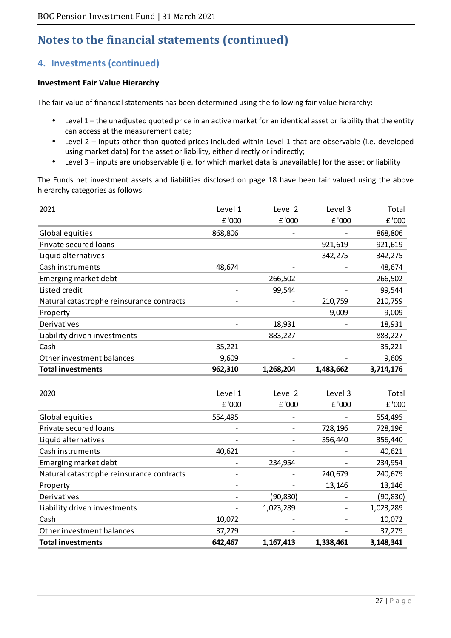# **4. Investments (continued)**

#### **Investment Fair Value Hierarchy**

The fair value of financial statements has been determined using the following fair value hierarchy:

- Level 1 the unadjusted quoted price in an active market for an identical asset or liability that the entity can access at the measurement date;
- Level 2 inputs other than quoted prices included within Level 1 that are observable (i.e. developed using market data) for the asset or liability, either directly or indirectly;
- Level 3 inputs are unobservable (i.e. for which market data is unavailable) for the asset or liability

The Funds net investment assets and liabilities disclosed on page 18 have been fair valued using the above hierarchy categories as follows:

| 2021                                      | Level 1                  | Level 2        | Level 3                  | Total     |
|-------------------------------------------|--------------------------|----------------|--------------------------|-----------|
|                                           | £ '000                   | £ '000         | £ '000                   | £ '000    |
| Global equities                           | 868,806                  |                |                          | 868,806   |
| Private secured loans                     |                          |                | 921,619                  | 921,619   |
| Liquid alternatives                       |                          |                | 342,275                  | 342,275   |
| Cash instruments                          | 48,674                   |                |                          | 48,674    |
| Emerging market debt                      |                          | 266,502        |                          | 266,502   |
| Listed credit                             |                          | 99,544         |                          | 99,544    |
| Natural catastrophe reinsurance contracts |                          |                | 210,759                  | 210,759   |
| Property                                  | $\overline{\phantom{0}}$ |                | 9,009                    | 9,009     |
| Derivatives                               |                          | 18,931         |                          | 18,931    |
| Liability driven investments              |                          | 883,227        |                          | 883,227   |
| Cash                                      | 35,221                   |                |                          | 35,221    |
| Other investment balances                 | 9,609                    |                |                          | 9,609     |
| <b>Total investments</b>                  | 962,310                  | 1,268,204      | 1,483,662                | 3,714,176 |
|                                           |                          |                |                          |           |
| 2020                                      | Level 1                  | Level 2        | Level 3                  | Total     |
|                                           | £ '000                   | £ '000         | £ '000                   | £ '000    |
| Global equities                           | 554,495                  |                |                          | 554,495   |
| Private secured loans                     |                          |                | 728,196                  | 728,196   |
| Liquid alternatives                       |                          |                | 356,440                  | 356,440   |
| Cash instruments                          | 40,621                   |                |                          | 40,621    |
| Emerging market debt                      |                          | 234,954        |                          | 234,954   |
| Natural catastrophe reinsurance contracts |                          |                | 240,679                  | 240,679   |
| Property                                  |                          | $\overline{a}$ | 13,146                   | 13,146    |
| Derivatives                               |                          | (90, 830)      |                          | (90, 830) |
| Liability driven investments              |                          | 1,023,289      |                          | 1,023,289 |
| Cash                                      | 10,072                   |                | $\overline{\phantom{a}}$ | 10,072    |
| Other investment balances                 | 37,279                   |                |                          | 37,279    |

**Total investments 642,467 1,167,413 1,338,461 3,148,341**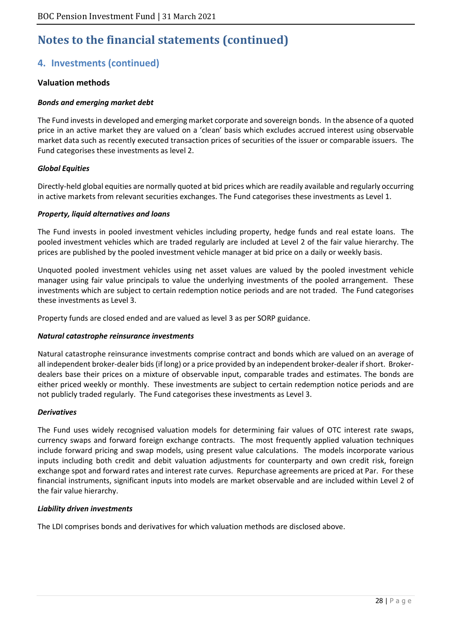# **4. Investments (continued)**

#### **Valuation methods**

#### *Bonds and emerging market debt*

The Fund invests in developed and emerging market corporate and sovereign bonds. In the absence of a quoted price in an active market they are valued on a 'clean' basis which excludes accrued interest using observable market data such as recently executed transaction prices of securities of the issuer or comparable issuers. The Fund categorises these investments as level 2.

#### *Global Equities*

Directly-held global equities are normally quoted at bid prices which are readily available and regularly occurring in active markets from relevant securities exchanges. The Fund categorises these investments as Level 1.

#### *Property, liquid alternatives and loans*

The Fund invests in pooled investment vehicles including property, hedge funds and real estate loans. The pooled investment vehicles which are traded regularly are included at Level 2 of the fair value hierarchy. The prices are published by the pooled investment vehicle manager at bid price on a daily or weekly basis.

Unquoted pooled investment vehicles using net asset values are valued by the pooled investment vehicle manager using fair value principals to value the underlying investments of the pooled arrangement. These investments which are subject to certain redemption notice periods and are not traded. The Fund categorises these investments as Level 3.

Property funds are closed ended and are valued as level 3 as per SORP guidance.

#### *Natural catastrophe reinsurance investments*

Natural catastrophe reinsurance investments comprise contract and bonds which are valued on an average of all independent broker-dealer bids (if long) or a price provided by an independent broker-dealer if short. Brokerdealers base their prices on a mixture of observable input, comparable trades and estimates. The bonds are either priced weekly or monthly. These investments are subject to certain redemption notice periods and are not publicly traded regularly. The Fund categorises these investments as Level 3.

#### *Derivatives*

The Fund uses widely recognised valuation models for determining fair values of OTC interest rate swaps, currency swaps and forward foreign exchange contracts. The most frequently applied valuation techniques include forward pricing and swap models, using present value calculations. The models incorporate various inputs including both credit and debit valuation adjustments for counterparty and own credit risk, foreign exchange spot and forward rates and interest rate curves. Repurchase agreements are priced at Par. For these financial instruments, significant inputs into models are market observable and are included within Level 2 of the fair value hierarchy.

#### *Liability driven investments*

The LDI comprises bonds and derivatives for which valuation methods are disclosed above.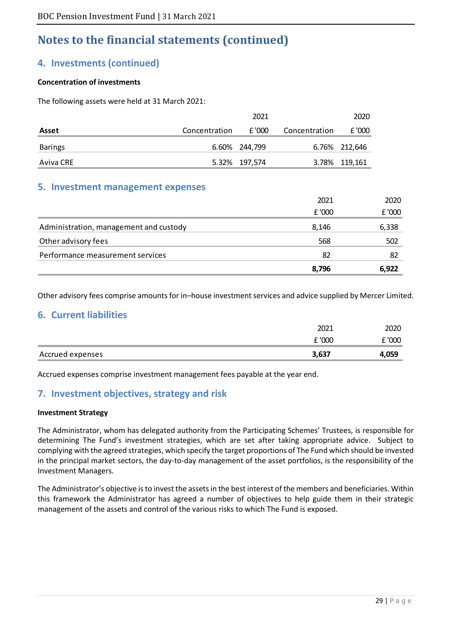### **4. Investments (continued)**

#### **Concentration of investments**

The following assets were held at 31 March 2021:

|                |               | 2021          |               | 2020          |
|----------------|---------------|---------------|---------------|---------------|
| Asset          | Concentration | £ '000        | Concentration | £ '000        |
| <b>Barings</b> |               | 6.60% 244,799 |               | 6.76% 212,646 |
| Aviva CRE      |               | 5.32% 197,574 |               | 3.78% 119,161 |

#### **5. Investment management expenses**

|                                        | 8,796  | 6,922  |
|----------------------------------------|--------|--------|
| Performance measurement services       | 82     | -82    |
| Other advisory fees                    | 568    | 502    |
| Administration, management and custody | 8,146  | 6,338  |
|                                        | £ '000 | £ '000 |
|                                        | 2021   | 2020   |

Other advisory fees comprise amounts for in–house investment services and advice supplied by Mercer Limited.

### **6. Current liabilities**

|                  | 2021   | 2020  |
|------------------|--------|-------|
|                  | £ '000 | 000   |
| Accrued expenses | 3,637  | 4,059 |

Accrued expenses comprise investment management fees payable at the year end.

### **7. Investment objectives, strategy and risk**

#### **Investment Strategy**

The Administrator, whom has delegated authority from the Participating Schemes' Trustees, is responsible for determining The Fund's investment strategies, which are set after taking appropriate advice. Subject to complying with the agreed strategies, which specify the target proportions of The Fund which should be invested in the principal market sectors, the day-to-day management of the asset portfolios, is the responsibility of the Investment Managers.

The Administrator's objective is to invest the assets in the best interest of the members and beneficiaries. Within this framework the Administrator has agreed a number of objectives to help guide them in their strategic management of the assets and control of the various risks to which The Fund is exposed.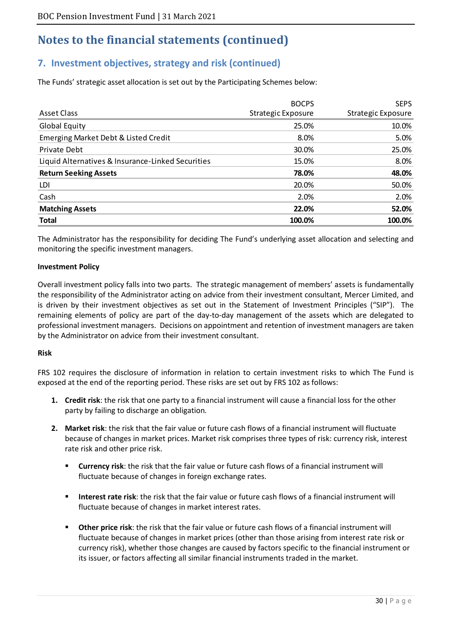## **7. Investment objectives, strategy and risk (continued)**

The Funds' strategic asset allocation is set out by the Participating Schemes below:

|                                                   | <b>BOCPS</b>       | <b>SEPS</b>        |
|---------------------------------------------------|--------------------|--------------------|
| Asset Class                                       | Strategic Exposure | Strategic Exposure |
| Global Equity                                     | 25.0%              | 10.0%              |
| Emerging Market Debt & Listed Credit              | 8.0%               | 5.0%               |
| Private Debt                                      | 30.0%              | 25.0%              |
| Liquid Alternatives & Insurance-Linked Securities | 15.0%              | 8.0%               |
| <b>Return Seeking Assets</b>                      | 78.0%              | 48.0%              |
| LDI                                               | 20.0%              | 50.0%              |
| Cash                                              | 2.0%               | 2.0%               |
| <b>Matching Assets</b>                            | 22.0%              | 52.0%              |
| <b>Total</b>                                      | 100.0%             | 100.0%             |

The Administrator has the responsibility for deciding The Fund's underlying asset allocation and selecting and monitoring the specific investment managers.

#### **Investment Policy**

Overall investment policy falls into two parts. The strategic management of members' assets is fundamentally the responsibility of the Administrator acting on advice from their investment consultant, Mercer Limited, and is driven by their investment objectives as set out in the Statement of Investment Principles ("SIP"). The remaining elements of policy are part of the day-to-day management of the assets which are delegated to professional investment managers. Decisions on appointment and retention of investment managers are taken by the Administrator on advice from their investment consultant.

#### **Risk**

FRS 102 requires the disclosure of information in relation to certain investment risks to which The Fund is exposed at the end of the reporting period. These risks are set out by FRS 102 as follows:

- **1. Credit risk**: the risk that one party to a financial instrument will cause a financial loss for the other party by failing to discharge an obligation*.*
- **2. Market risk**: the risk that the fair value or future cash flows of a financial instrument will fluctuate because of changes in market prices. Market risk comprises three types of risk: currency risk, interest rate risk and other price risk.
	- **Currency risk**: the risk that the fair value or future cash flows of a financial instrument will fluctuate because of changes in foreign exchange rates.
	- **Interest rate risk**: the risk that the fair value or future cash flows of a financial instrument will fluctuate because of changes in market interest rates.
	- **Other price risk**: the risk that the fair value or future cash flows of a financial instrument will fluctuate because of changes in market prices (other than those arising from interest rate risk or currency risk), whether those changes are caused by factors specific to the financial instrument or its issuer, or factors affecting all similar financial instruments traded in the market.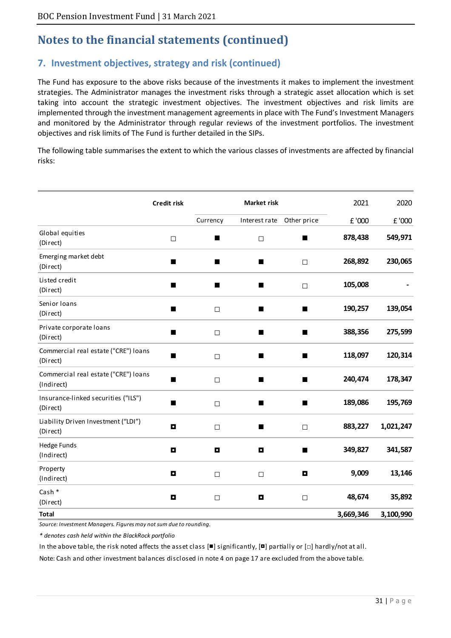# **7. Investment objectives, strategy and risk (continued)**

The Fund has exposure to the above risks because of the investments it makes to implement the investment strategies. The Administrator manages the investment risks through a strategic asset allocation which is set taking into account the strategic investment objectives. The investment objectives and risk limits are implemented through the investment management agreements in place with The Fund's Investment Managers and monitored by the Administrator through regular reviews of the investment portfolios. The investment objectives and risk limits of The Fund is further detailed in the SIPs.

The following table summarises the extent to which the various classes of investments are affected by financial risks:

|                                                    | Credit risk    |                | <b>Market risk</b>      |             | 2021      | 2020      |
|----------------------------------------------------|----------------|----------------|-------------------------|-------------|-----------|-----------|
|                                                    |                | Currency       | Interest rate           | Other price | £ '000    | £ '000    |
| Global equities<br>(Direct)                        | $\Box$         | ш              | $\Box$                  | ш           | 878,438   | 549,971   |
| Emerging market debt<br>(Direct)                   | $\blacksquare$ | ■              | $\blacksquare$          | $\Box$      | 268,892   | 230,065   |
| Listed credit<br>(Direct)                          | ■              | п              | ■                       | $\Box$      | 105,008   |           |
| Senior Ioans<br>(Direct)                           | ■              | $\Box$         | $\blacksquare$          | п           | 190,257   | 139,054   |
| Private corporate loans<br>(Direct)                | $\blacksquare$ | $\Box$         | ■                       | ■           | 388,356   | 275,599   |
| Commercial real estate ("CRE") loans<br>(Direct)   | п              | $\Box$         | ■                       | ٠           | 118,097   | 120,314   |
| Commercial real estate ("CRE") loans<br>(Indirect) | ■              | $\Box$         | ■                       | ■           | 240,474   | 178,347   |
| Insurance-linked securities ("ILS")<br>(Direct)    | ■              | $\Box$         | ■                       | п           | 189,086   | 195,769   |
| Liability Driven Investment ("LDI")<br>(Direct)    | $\blacksquare$ | $\Box$         | П                       | $\Box$      | 883,227   | 1,021,247 |
| <b>Hedge Funds</b><br>(Indirect)                   | $\blacksquare$ | $\blacksquare$ | $\blacksquare$          | ■           | 349,827   | 341,587   |
| Property<br>(Indirect)                             | $\blacksquare$ | $\Box$         | $\Box$                  | O           | 9,009     | 13,146    |
| Cash *<br>(Direct)                                 | $\mathbf{C}$   | $\Box$         | $\overline{\mathbf{a}}$ | $\Box$      | 48,674    | 35,892    |
| <b>Total</b>                                       |                |                |                         |             | 3,669,346 | 3,100,990 |

*Source: Investment Managers. Figures may not sum due to rounding.* 

*\* denotes cash held within the BlackRock portfolio*

In the above table, the risk noted affects the asset class  $[ \blacksquare]$  significantly,  $[ \blacksquare]$  partially or  $[ \square]$  hardly/not at all.

Note: Cash and other investment balances disclosed in note 4 on page 17 are excluded from the above table.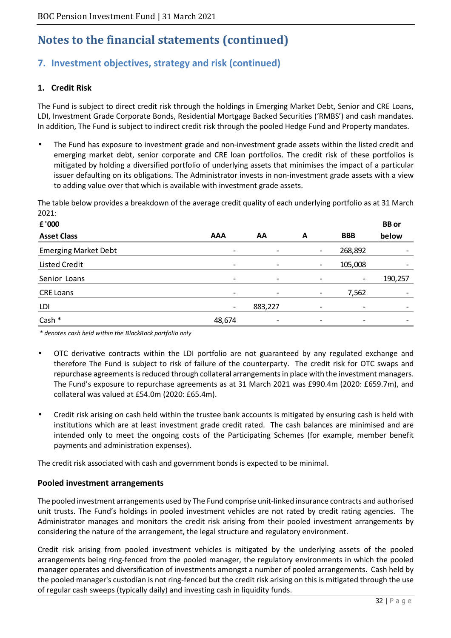# **7. Investment objectives, strategy and risk (continued)**

#### **1. Credit Risk**

The Fund is subject to direct credit risk through the holdings in Emerging Market Debt, Senior and CRE Loans, LDI, Investment Grade Corporate Bonds, Residential Mortgage Backed Securities ('RMBS') and cash mandates. In addition, The Fund is subject to indirect credit risk through the pooled Hedge Fund and Property mandates.

• The Fund has exposure to investment grade and non-investment grade assets within the listed credit and emerging market debt, senior corporate and CRE loan portfolios. The credit risk of these portfolios is mitigated by holding a diversified portfolio of underlying assets that minimises the impact of a particular issuer defaulting on its obligations. The Administrator invests in non-investment grade assets with a view to adding value over that which is available with investment grade assets.

The table below provides a breakdown of the average credit quality of each underlying portfolio as at 31 March  $2021.$ 

| £ '000                      |                          |                          |                          |                          | <b>BB</b> or             |
|-----------------------------|--------------------------|--------------------------|--------------------------|--------------------------|--------------------------|
| <b>Asset Class</b>          | <b>AAA</b>               | AA                       | A                        | <b>BBB</b>               | below                    |
| <b>Emerging Market Debt</b> | $\overline{\phantom{a}}$ |                          | -                        | 268,892                  |                          |
| Listed Credit               | $\overline{\phantom{a}}$ | $\overline{\phantom{a}}$ | $\overline{\phantom{a}}$ | 105,008                  | $\overline{\phantom{0}}$ |
| Senior Loans                | $\overline{\phantom{a}}$ | $\overline{\phantom{a}}$ | ۰                        | -                        | 190,257                  |
| <b>CRE Loans</b>            | -                        | $\overline{\phantom{a}}$ | $\overline{\phantom{a}}$ | 7,562                    | $\overline{\phantom{a}}$ |
| LDI                         | $\overline{\phantom{a}}$ | 883,227                  | $\overline{\phantom{a}}$ | $\overline{\phantom{a}}$ | $\overline{\phantom{a}}$ |
| Cash *                      | 48,674                   | $\overline{\phantom{a}}$ | -                        |                          |                          |

*\* denotes cash held within the BlackRock portfolio only*

- OTC derivative contracts within the LDI portfolio are not guaranteed by any regulated exchange and therefore The Fund is subject to risk of failure of the counterparty. The credit risk for OTC swaps and repurchase agreements is reduced through collateral arrangements in place with the investment managers. The Fund's exposure to repurchase agreements as at 31 March 2021 was £990.4m (2020: £659.7m), and collateral was valued at £54.0m (2020: £65.4m).
- Credit risk arising on cash held within the trustee bank accounts is mitigated by ensuring cash is held with institutions which are at least investment grade credit rated. The cash balances are minimised and are intended only to meet the ongoing costs of the Participating Schemes (for example, member benefit payments and administration expenses).

The credit risk associated with cash and government bonds is expected to be minimal.

#### **Pooled investment arrangements**

The pooled investment arrangements used by The Fund comprise unit-linked insurance contracts and authorised unit trusts. The Fund's holdings in pooled investment vehicles are not rated by credit rating agencies. The Administrator manages and monitors the credit risk arising from their pooled investment arrangements by considering the nature of the arrangement, the legal structure and regulatory environment.

Credit risk arising from pooled investment vehicles is mitigated by the underlying assets of the pooled arrangements being ring-fenced from the pooled manager, the regulatory environments in which the pooled manager operates and diversification of investments amongst a number of pooled arrangements. Cash held by the pooled manager's custodian is not ring-fenced but the credit risk arising on this is mitigated through the use of regular cash sweeps (typically daily) and investing cash in liquidity funds.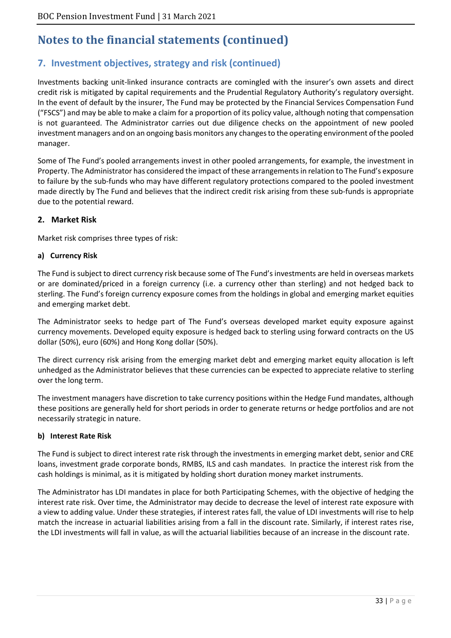# **7. Investment objectives, strategy and risk (continued)**

Investments backing unit-linked insurance contracts are comingled with the insurer's own assets and direct credit risk is mitigated by capital requirements and the Prudential Regulatory Authority's regulatory oversight. In the event of default by the insurer, The Fund may be protected by the Financial Services Compensation Fund ("FSCS") and may be able to make a claim for a proportion of its policy value, although noting that compensation is not guaranteed. The Administrator carries out due diligence checks on the appointment of new pooled investment managers and on an ongoing basis monitors any changes to the operating environment of the pooled manager.

Some of The Fund's pooled arrangements invest in other pooled arrangements, for example, the investment in Property. The Administrator has considered the impact of these arrangements in relation to The Fund's exposure to failure by the sub-funds who may have different regulatory protections compared to the pooled investment made directly by The Fund and believes that the indirect credit risk arising from these sub-funds is appropriate due to the potential reward.

#### **2. Market Risk**

Market risk comprises three types of risk:

#### **a) Currency Risk**

The Fund is subject to direct currency risk because some of The Fund's investments are held in overseas markets or are dominated/priced in a foreign currency (i.e. a currency other than sterling) and not hedged back to sterling. The Fund's foreign currency exposure comes from the holdings in global and emerging market equities and emerging market debt.

The Administrator seeks to hedge part of The Fund's overseas developed market equity exposure against currency movements. Developed equity exposure is hedged back to sterling using forward contracts on the US dollar (50%), euro (60%) and Hong Kong dollar (50%).

The direct currency risk arising from the emerging market debt and emerging market equity allocation is left unhedged as the Administrator believes that these currencies can be expected to appreciate relative to sterling over the long term.

The investment managers have discretion to take currency positions within the Hedge Fund mandates, although these positions are generally held for short periods in order to generate returns or hedge portfolios and are not necessarily strategic in nature.

#### **b) Interest Rate Risk**

The Fund is subject to direct interest rate risk through the investments in emerging market debt, senior and CRE loans, investment grade corporate bonds, RMBS, ILS and cash mandates. In practice the interest risk from the cash holdings is minimal, as it is mitigated by holding short duration money market instruments.

The Administrator has LDI mandates in place for both Participating Schemes, with the objective of hedging the interest rate risk. Over time, the Administrator may decide to decrease the level of interest rate exposure with a view to adding value. Under these strategies, if interest rates fall, the value of LDI investments will rise to help match the increase in actuarial liabilities arising from a fall in the discount rate. Similarly, if interest rates rise, the LDI investments will fall in value, as will the actuarial liabilities because of an increase in the discount rate.